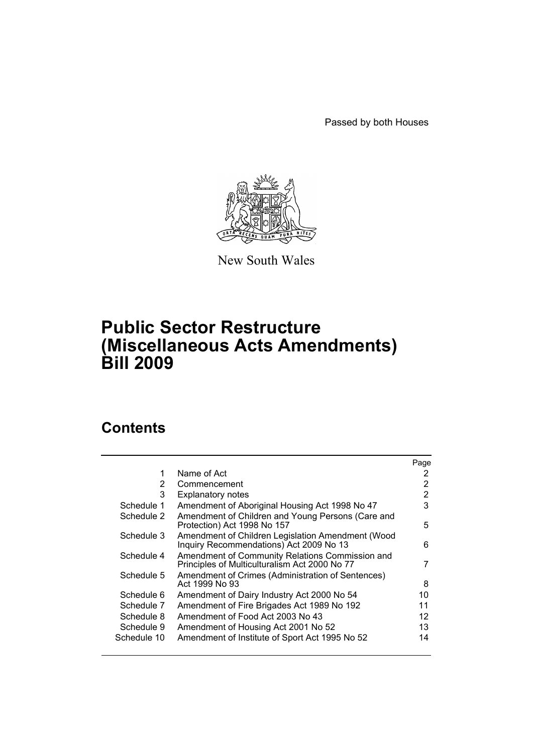Passed by both Houses



New South Wales

# **Public Sector Restructure (Miscellaneous Acts Amendments) Bill 2009**

# **Contents**

|                |                                                                                                  | Page |
|----------------|--------------------------------------------------------------------------------------------------|------|
| 1              | Name of Act                                                                                      | 2    |
| $\overline{2}$ | Commencement                                                                                     | 2    |
| 3              | <b>Explanatory notes</b>                                                                         | 2    |
| Schedule 1     | Amendment of Aboriginal Housing Act 1998 No 47                                                   | 3    |
| Schedule 2     | Amendment of Children and Young Persons (Care and<br>Protection) Act 1998 No 157                 | 5    |
| Schedule 3     | Amendment of Children Legislation Amendment (Wood<br>Inquiry Recommendations) Act 2009 No 13     | 6    |
| Schedule 4     | Amendment of Community Relations Commission and<br>Principles of Multiculturalism Act 2000 No 77 | 7    |
| Schedule 5     | Amendment of Crimes (Administration of Sentences)<br>Act 1999 No 93                              | 8    |
| Schedule 6     | Amendment of Dairy Industry Act 2000 No 54                                                       | 10   |
| Schedule 7     | Amendment of Fire Brigades Act 1989 No 192                                                       | 11   |
| Schedule 8     | Amendment of Food Act 2003 No 43                                                                 | 12   |
| Schedule 9     | Amendment of Housing Act 2001 No 52                                                              | 13   |
| Schedule 10    | Amendment of Institute of Sport Act 1995 No 52                                                   | 14   |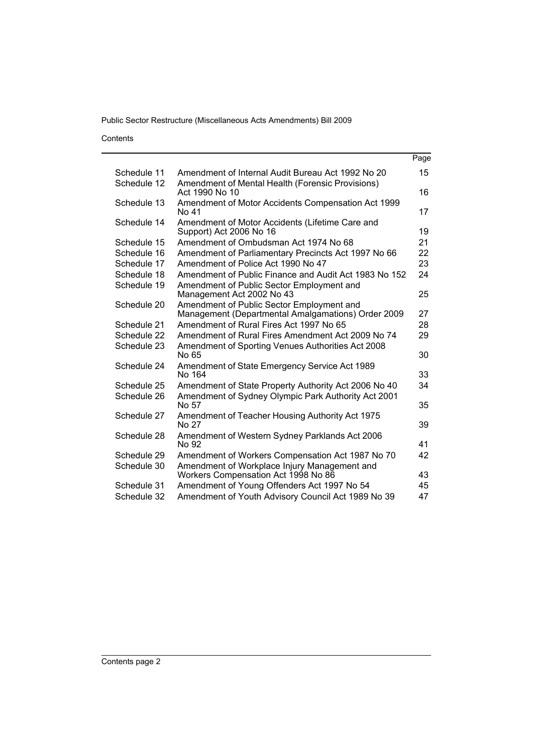Contents

| Page                                                                                                                                                                                                                                                                                                                                                                                                                                                                                                                                                                                                                                                                                                                                                                                                                                                                                                                                                                                                                                                                                                                                                                                                                                                                                            |
|-------------------------------------------------------------------------------------------------------------------------------------------------------------------------------------------------------------------------------------------------------------------------------------------------------------------------------------------------------------------------------------------------------------------------------------------------------------------------------------------------------------------------------------------------------------------------------------------------------------------------------------------------------------------------------------------------------------------------------------------------------------------------------------------------------------------------------------------------------------------------------------------------------------------------------------------------------------------------------------------------------------------------------------------------------------------------------------------------------------------------------------------------------------------------------------------------------------------------------------------------------------------------------------------------|
| 15                                                                                                                                                                                                                                                                                                                                                                                                                                                                                                                                                                                                                                                                                                                                                                                                                                                                                                                                                                                                                                                                                                                                                                                                                                                                                              |
| 16                                                                                                                                                                                                                                                                                                                                                                                                                                                                                                                                                                                                                                                                                                                                                                                                                                                                                                                                                                                                                                                                                                                                                                                                                                                                                              |
| 17                                                                                                                                                                                                                                                                                                                                                                                                                                                                                                                                                                                                                                                                                                                                                                                                                                                                                                                                                                                                                                                                                                                                                                                                                                                                                              |
| 19                                                                                                                                                                                                                                                                                                                                                                                                                                                                                                                                                                                                                                                                                                                                                                                                                                                                                                                                                                                                                                                                                                                                                                                                                                                                                              |
| 21                                                                                                                                                                                                                                                                                                                                                                                                                                                                                                                                                                                                                                                                                                                                                                                                                                                                                                                                                                                                                                                                                                                                                                                                                                                                                              |
| 22                                                                                                                                                                                                                                                                                                                                                                                                                                                                                                                                                                                                                                                                                                                                                                                                                                                                                                                                                                                                                                                                                                                                                                                                                                                                                              |
| 23                                                                                                                                                                                                                                                                                                                                                                                                                                                                                                                                                                                                                                                                                                                                                                                                                                                                                                                                                                                                                                                                                                                                                                                                                                                                                              |
| 24                                                                                                                                                                                                                                                                                                                                                                                                                                                                                                                                                                                                                                                                                                                                                                                                                                                                                                                                                                                                                                                                                                                                                                                                                                                                                              |
| 25                                                                                                                                                                                                                                                                                                                                                                                                                                                                                                                                                                                                                                                                                                                                                                                                                                                                                                                                                                                                                                                                                                                                                                                                                                                                                              |
| 27                                                                                                                                                                                                                                                                                                                                                                                                                                                                                                                                                                                                                                                                                                                                                                                                                                                                                                                                                                                                                                                                                                                                                                                                                                                                                              |
| 28                                                                                                                                                                                                                                                                                                                                                                                                                                                                                                                                                                                                                                                                                                                                                                                                                                                                                                                                                                                                                                                                                                                                                                                                                                                                                              |
| 29                                                                                                                                                                                                                                                                                                                                                                                                                                                                                                                                                                                                                                                                                                                                                                                                                                                                                                                                                                                                                                                                                                                                                                                                                                                                                              |
| 30                                                                                                                                                                                                                                                                                                                                                                                                                                                                                                                                                                                                                                                                                                                                                                                                                                                                                                                                                                                                                                                                                                                                                                                                                                                                                              |
| 33                                                                                                                                                                                                                                                                                                                                                                                                                                                                                                                                                                                                                                                                                                                                                                                                                                                                                                                                                                                                                                                                                                                                                                                                                                                                                              |
| 34                                                                                                                                                                                                                                                                                                                                                                                                                                                                                                                                                                                                                                                                                                                                                                                                                                                                                                                                                                                                                                                                                                                                                                                                                                                                                              |
| 35                                                                                                                                                                                                                                                                                                                                                                                                                                                                                                                                                                                                                                                                                                                                                                                                                                                                                                                                                                                                                                                                                                                                                                                                                                                                                              |
| 39                                                                                                                                                                                                                                                                                                                                                                                                                                                                                                                                                                                                                                                                                                                                                                                                                                                                                                                                                                                                                                                                                                                                                                                                                                                                                              |
| 41                                                                                                                                                                                                                                                                                                                                                                                                                                                                                                                                                                                                                                                                                                                                                                                                                                                                                                                                                                                                                                                                                                                                                                                                                                                                                              |
| 42                                                                                                                                                                                                                                                                                                                                                                                                                                                                                                                                                                                                                                                                                                                                                                                                                                                                                                                                                                                                                                                                                                                                                                                                                                                                                              |
| 43                                                                                                                                                                                                                                                                                                                                                                                                                                                                                                                                                                                                                                                                                                                                                                                                                                                                                                                                                                                                                                                                                                                                                                                                                                                                                              |
| 45                                                                                                                                                                                                                                                                                                                                                                                                                                                                                                                                                                                                                                                                                                                                                                                                                                                                                                                                                                                                                                                                                                                                                                                                                                                                                              |
| 47                                                                                                                                                                                                                                                                                                                                                                                                                                                                                                                                                                                                                                                                                                                                                                                                                                                                                                                                                                                                                                                                                                                                                                                                                                                                                              |
| Amendment of Internal Audit Bureau Act 1992 No 20<br>Amendment of Mental Health (Forensic Provisions)<br>Amendment of Motor Accidents Compensation Act 1999<br>Amendment of Motor Accidents (Lifetime Care and<br>Support) Act 2006 No 16<br>Amendment of Ombudsman Act 1974 No 68<br>Amendment of Parliamentary Precincts Act 1997 No 66<br>Amendment of Police Act 1990 No 47<br>Amendment of Public Finance and Audit Act 1983 No 152<br>Amendment of Public Sector Employment and<br>Management Act 2002 No 43<br>Amendment of Public Sector Employment and<br>Management (Departmental Amalgamations) Order 2009<br>Amendment of Rural Fires Act 1997 No 65<br>Amendment of Rural Fires Amendment Act 2009 No 74<br>Amendment of Sporting Venues Authorities Act 2008<br>Amendment of State Emergency Service Act 1989<br>Amendment of State Property Authority Act 2006 No 40<br>Amendment of Sydney Olympic Park Authority Act 2001<br>Amendment of Teacher Housing Authority Act 1975<br>Amendment of Western Sydney Parklands Act 2006<br>Amendment of Workers Compensation Act 1987 No 70<br>Amendment of Workplace Injury Management and<br>Workers Compensation Act 1998 No 86<br>Amendment of Young Offenders Act 1997 No 54<br>Amendment of Youth Advisory Council Act 1989 No 39 |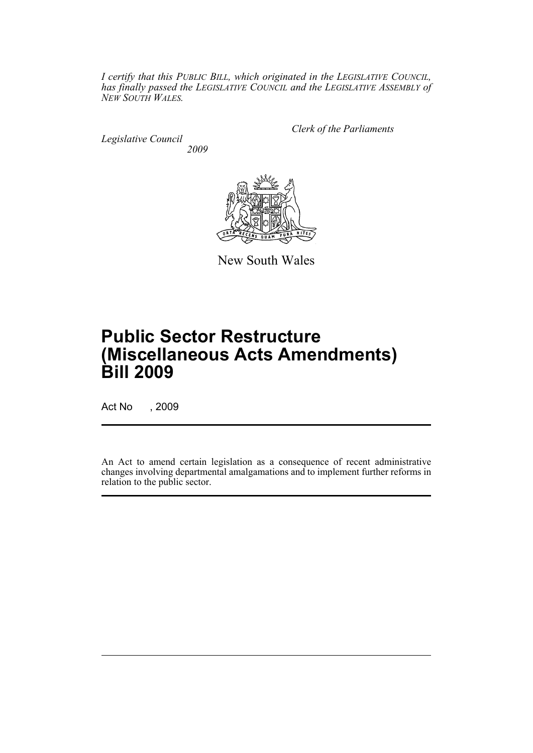*I certify that this PUBLIC BILL, which originated in the LEGISLATIVE COUNCIL, has finally passed the LEGISLATIVE COUNCIL and the LEGISLATIVE ASSEMBLY of NEW SOUTH WALES.*

*Legislative Council 2009* *Clerk of the Parliaments*



New South Wales

# **Public Sector Restructure (Miscellaneous Acts Amendments) Bill 2009**

Act No , 2009

An Act to amend certain legislation as a consequence of recent administrative changes involving departmental amalgamations and to implement further reforms in relation to the public sector.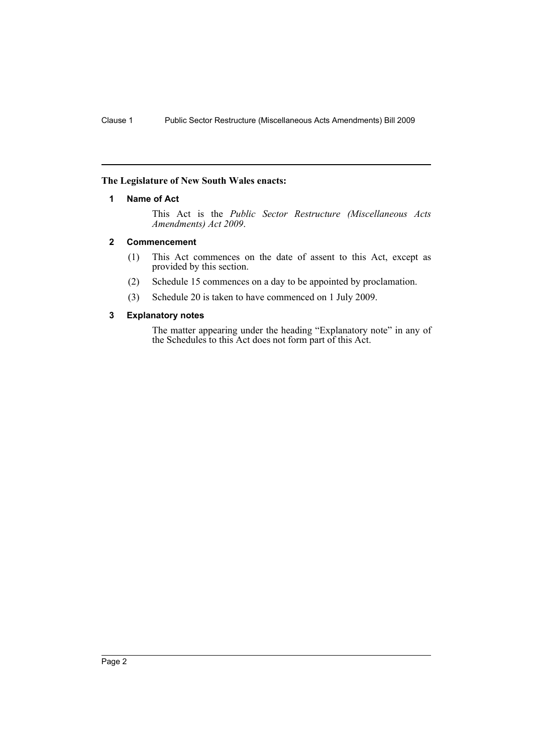### <span id="page-3-0"></span>**The Legislature of New South Wales enacts:**

### **1 Name of Act**

This Act is the *Public Sector Restructure (Miscellaneous Acts Amendments) Act 2009*.

### <span id="page-3-1"></span>**2 Commencement**

- (1) This Act commences on the date of assent to this Act, except as provided by this section.
- (2) Schedule 15 commences on a day to be appointed by proclamation.
- (3) Schedule 20 is taken to have commenced on 1 July 2009.

### <span id="page-3-2"></span>**3 Explanatory notes**

The matter appearing under the heading "Explanatory note" in any of the Schedules to this Act does not form part of this Act.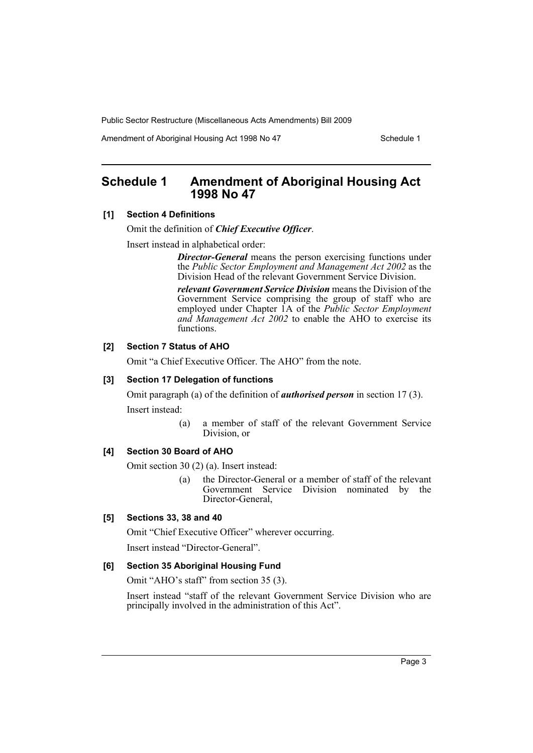Amendment of Aboriginal Housing Act 1998 No 47 Schedule 1

# <span id="page-4-0"></span>**Schedule 1 Amendment of Aboriginal Housing Act 1998 No 47**

### **[1] Section 4 Definitions**

Omit the definition of *Chief Executive Officer*.

Insert instead in alphabetical order:

*Director-General* means the person exercising functions under the *Public Sector Employment and Management Act 2002* as the Division Head of the relevant Government Service Division.

*relevant Government Service Division* means the Division of the Government Service comprising the group of staff who are employed under Chapter 1A of the *Public Sector Employment and Management Act 2002* to enable the AHO to exercise its functions.

# **[2] Section 7 Status of AHO**

Omit "a Chief Executive Officer. The AHO" from the note.

### **[3] Section 17 Delegation of functions**

Omit paragraph (a) of the definition of *authorised person* in section 17 (3).

Insert instead:

(a) a member of staff of the relevant Government Service Division, or

### **[4] Section 30 Board of AHO**

Omit section 30 (2) (a). Insert instead:

(a) the Director-General or a member of staff of the relevant Government Service Division nominated by the Director-General,

### **[5] Sections 33, 38 and 40**

Omit "Chief Executive Officer" wherever occurring.

Insert instead "Director-General".

#### **[6] Section 35 Aboriginal Housing Fund**

Omit "AHO's staff" from section 35 (3).

Insert instead "staff of the relevant Government Service Division who are principally involved in the administration of this Act".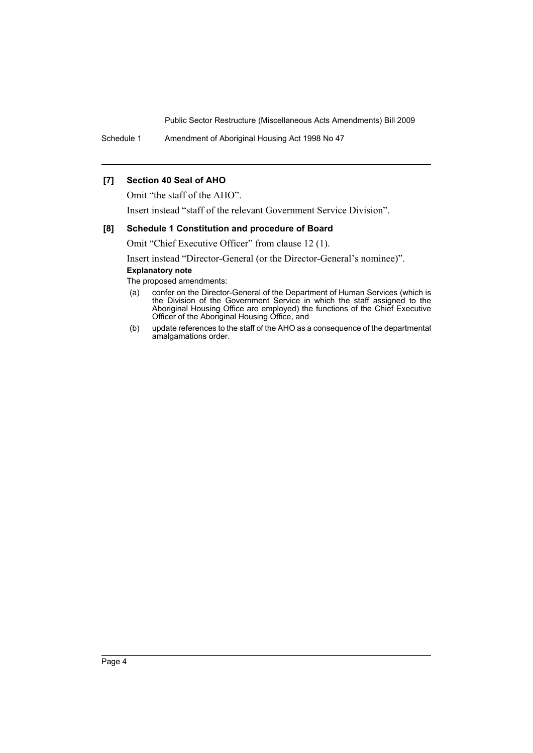Schedule 1 Amendment of Aboriginal Housing Act 1998 No 47

### **[7] Section 40 Seal of AHO**

Omit "the staff of the AHO".

Insert instead "staff of the relevant Government Service Division".

#### **[8] Schedule 1 Constitution and procedure of Board**

Omit "Chief Executive Officer" from clause 12 (1).

Insert instead "Director-General (or the Director-General's nominee)".

### **Explanatory note**

- (a) confer on the Director-General of the Department of Human Services (which is the Division of the Government Service in which the staff assigned to the Aboriginal Housing Office are employed) the functions of the Chief Executive Officer of the Aboriginal Housing Office, and
- (b) update references to the staff of the AHO as a consequence of the departmental amalgamations order.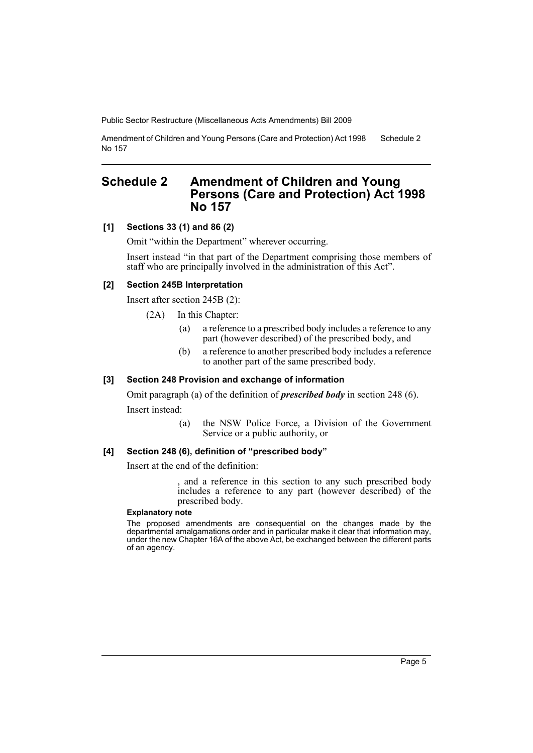Amendment of Children and Young Persons (Care and Protection) Act 1998 No 157 Schedule 2

# <span id="page-6-0"></span>**Schedule 2 Amendment of Children and Young Persons (Care and Protection) Act 1998 No 157**

### **[1] Sections 33 (1) and 86 (2)**

Omit "within the Department" wherever occurring.

Insert instead "in that part of the Department comprising those members of staff who are principally involved in the administration of this Act".

#### **[2] Section 245B Interpretation**

Insert after section 245B (2):

- (2A) In this Chapter:
	- (a) a reference to a prescribed body includes a reference to any part (however described) of the prescribed body, and
	- (b) a reference to another prescribed body includes a reference to another part of the same prescribed body.

#### **[3] Section 248 Provision and exchange of information**

Omit paragraph (a) of the definition of *prescribed body* in section 248 (6).

Insert instead:

(a) the NSW Police Force, a Division of the Government Service or a public authority, or

#### **[4] Section 248 (6), definition of "prescribed body"**

Insert at the end of the definition:

and a reference in this section to any such prescribed body includes a reference to any part (however described) of the prescribed body.

#### **Explanatory note**

The proposed amendments are consequential on the changes made by the departmental amalgamations order and in particular make it clear that information may, under the new Chapter 16A of the above Act, be exchanged between the different parts of an agency.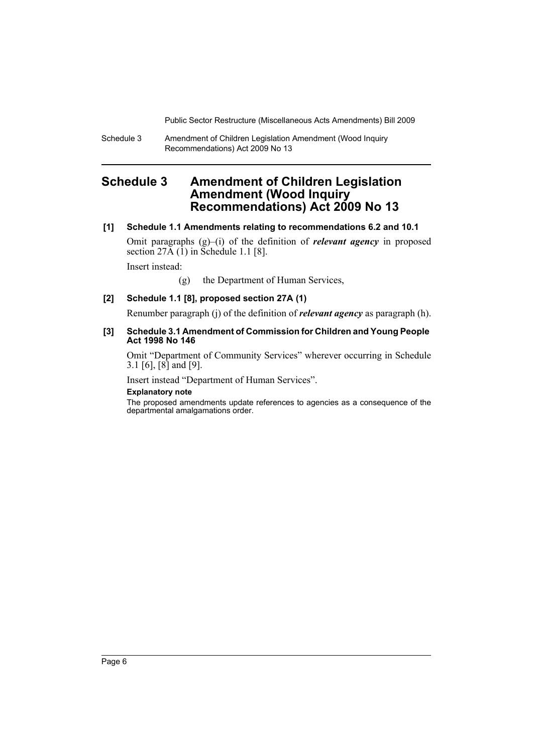Schedule 3 Amendment of Children Legislation Amendment (Wood Inquiry Recommendations) Act 2009 No 13

# <span id="page-7-0"></span>**Schedule 3 Amendment of Children Legislation Amendment (Wood Inquiry Recommendations) Act 2009 No 13**

### **[1] Schedule 1.1 Amendments relating to recommendations 6.2 and 10.1**

Omit paragraphs (g)–(i) of the definition of *relevant agency* in proposed section  $27\overline{A}$  (1) in Schedule 1.1 [8].

Insert instead:

(g) the Department of Human Services,

# **[2] Schedule 1.1 [8], proposed section 27A (1)**

Renumber paragraph (j) of the definition of *relevant agency* as paragraph (h).

#### **[3] Schedule 3.1 Amendment of Commission for Children and Young People Act 1998 No 146**

Omit "Department of Community Services" wherever occurring in Schedule 3.1 [6], [8] and [9].

Insert instead "Department of Human Services".

#### **Explanatory note**

The proposed amendments update references to agencies as a consequence of the departmental amalgamations order.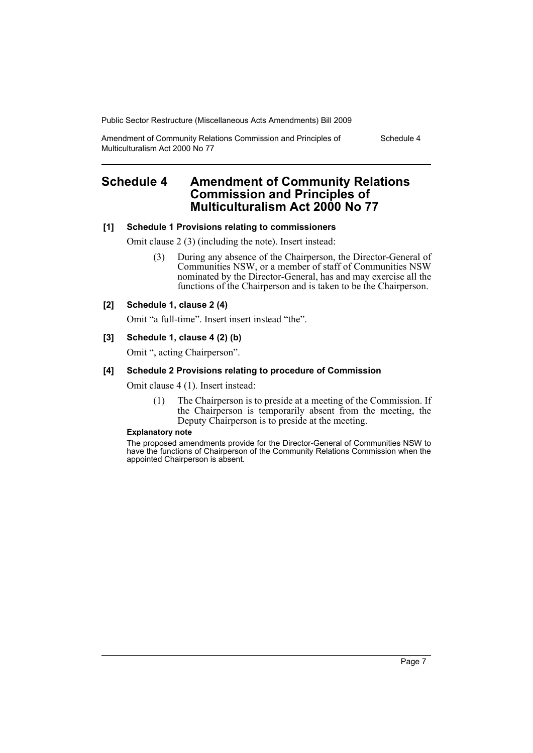Amendment of Community Relations Commission and Principles of Multiculturalism Act 2000 No 77

Schedule 4

# <span id="page-8-0"></span>**Schedule 4 Amendment of Community Relations Commission and Principles of Multiculturalism Act 2000 No 77**

### **[1] Schedule 1 Provisions relating to commissioners**

Omit clause 2 (3) (including the note). Insert instead:

(3) During any absence of the Chairperson, the Director-General of Communities NSW, or a member of staff of Communities NSW nominated by the Director-General, has and may exercise all the functions of the Chairperson and is taken to be the Chairperson.

### **[2] Schedule 1, clause 2 (4)**

Omit "a full-time". Insert insert instead "the".

### **[3] Schedule 1, clause 4 (2) (b)**

Omit ", acting Chairperson".

### **[4] Schedule 2 Provisions relating to procedure of Commission**

Omit clause 4 (1). Insert instead:

(1) The Chairperson is to preside at a meeting of the Commission. If the Chairperson is temporarily absent from the meeting, the Deputy Chairperson is to preside at the meeting.

#### **Explanatory note**

The proposed amendments provide for the Director-General of Communities NSW to have the functions of Chairperson of the Community Relations Commission when the appointed Chairperson is absent.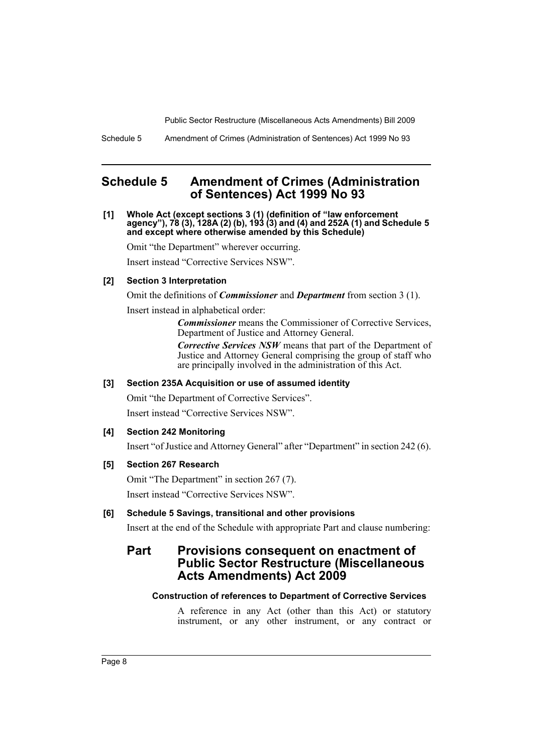Schedule 5 Amendment of Crimes (Administration of Sentences) Act 1999 No 93

# <span id="page-9-0"></span>**Schedule 5 Amendment of Crimes (Administration of Sentences) Act 1999 No 93**

**[1] Whole Act (except sections 3 (1) (definition of "law enforcement agency"), 78 (3), 128A (2) (b), 193 (3) and (4) and 252A (1) and Schedule 5 and except where otherwise amended by this Schedule)**

Omit "the Department" wherever occurring.

Insert instead "Corrective Services NSW".

### **[2] Section 3 Interpretation**

Omit the definitions of *Commissioner* and *Department* from section 3 (1).

Insert instead in alphabetical order:

*Commissioner* means the Commissioner of Corrective Services, Department of Justice and Attorney General.

*Corrective Services NSW* means that part of the Department of Justice and Attorney General comprising the group of staff who are principally involved in the administration of this Act.

### **[3] Section 235A Acquisition or use of assumed identity**

Omit "the Department of Corrective Services". Insert instead "Corrective Services NSW".

### **[4] Section 242 Monitoring**

Insert "of Justice and Attorney General" after "Department" in section 242 (6).

### **[5] Section 267 Research**

Omit "The Department" in section 267 (7).

Insert instead "Corrective Services NSW".

# **[6] Schedule 5 Savings, transitional and other provisions**

Insert at the end of the Schedule with appropriate Part and clause numbering:

# **Part Provisions consequent on enactment of Public Sector Restructure (Miscellaneous Acts Amendments) Act 2009**

#### **Construction of references to Department of Corrective Services**

A reference in any Act (other than this Act) or statutory instrument, or any other instrument, or any contract or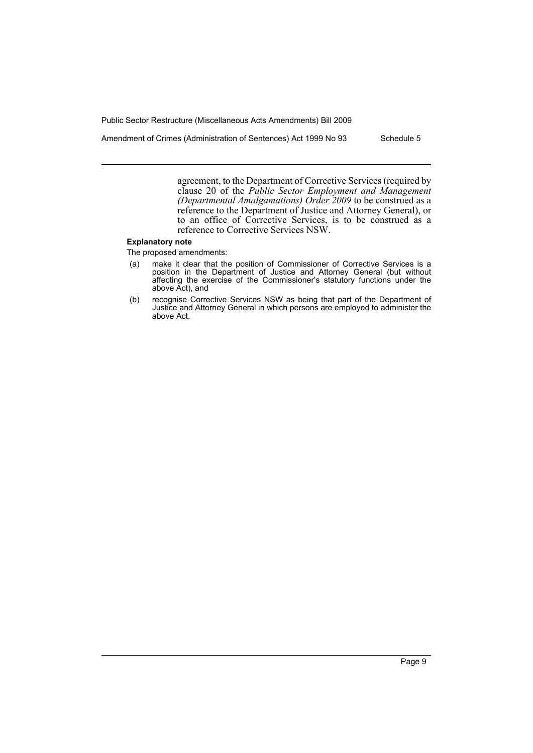Amendment of Crimes (Administration of Sentences) Act 1999 No 93 Schedule 5

agreement, to the Department of Corrective Services (required by clause 20 of the *Public Sector Employment and Management (Departmental Amalgamations) Order 2009* to be construed as a reference to the Department of Justice and Attorney General), or to an office of Corrective Services, is to be construed as a reference to Corrective Services NSW.

#### **Explanatory note**

- (a) make it clear that the position of Commissioner of Corrective Services is a position in the Department of Justice and Attorney General (but without affecting the exercise of the Commissioner's statutory functions under the above Act), and
- (b) recognise Corrective Services NSW as being that part of the Department of Justice and Attorney General in which persons are employed to administer the above Act.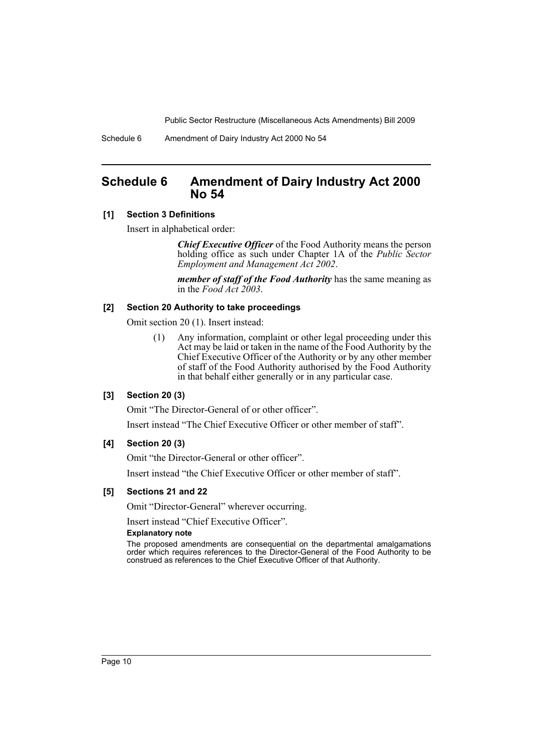Schedule 6 Amendment of Dairy Industry Act 2000 No 54

# <span id="page-11-0"></span>**Schedule 6 Amendment of Dairy Industry Act 2000 No 54**

### **[1] Section 3 Definitions**

Insert in alphabetical order:

*Chief Executive Officer* of the Food Authority means the person holding office as such under Chapter 1A of the *Public Sector Employment and Management Act 2002*.

*member of staff of the Food Authority* has the same meaning as in the *Food Act 2003*.

#### **[2] Section 20 Authority to take proceedings**

Omit section 20 (1). Insert instead:

(1) Any information, complaint or other legal proceeding under this Act may be laid or taken in the name of the Food Authority by the Chief Executive Officer of the Authority or by any other member of staff of the Food Authority authorised by the Food Authority in that behalf either generally or in any particular case.

#### **[3] Section 20 (3)**

Omit "The Director-General of or other officer".

Insert instead "The Chief Executive Officer or other member of staff".

#### **[4] Section 20 (3)**

Omit "the Director-General or other officer".

Insert instead "the Chief Executive Officer or other member of staff".

#### **[5] Sections 21 and 22**

Omit "Director-General" wherever occurring.

Insert instead "Chief Executive Officer".

#### **Explanatory note**

The proposed amendments are consequential on the departmental amalgamations order which requires references to the Director-General of the Food Authority to be construed as references to the Chief Executive Officer of that Authority.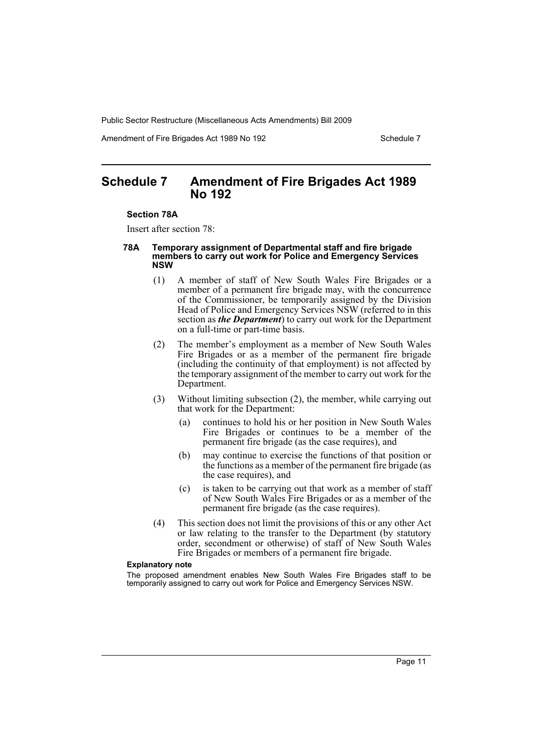Amendment of Fire Brigades Act 1989 No 192 Schedule 7

# <span id="page-12-0"></span>**Schedule 7 Amendment of Fire Brigades Act 1989 No 192**

#### **Section 78A**

Insert after section 78:

#### **78A Temporary assignment of Departmental staff and fire brigade members to carry out work for Police and Emergency Services NSW**

- (1) A member of staff of New South Wales Fire Brigades or a member of a permanent fire brigade may, with the concurrence of the Commissioner, be temporarily assigned by the Division Head of Police and Emergency Services NSW (referred to in this section as *the Department*) to carry out work for the Department on a full-time or part-time basis.
- (2) The member's employment as a member of New South Wales Fire Brigades or as a member of the permanent fire brigade (including the continuity of that employment) is not affected by the temporary assignment of the member to carry out work for the Department.
- (3) Without limiting subsection (2), the member, while carrying out that work for the Department:
	- (a) continues to hold his or her position in New South Wales Fire Brigades or continues to be a member of the permanent fire brigade (as the case requires), and
	- (b) may continue to exercise the functions of that position or the functions as a member of the permanent fire brigade (as the case requires), and
	- (c) is taken to be carrying out that work as a member of staff of New South Wales Fire Brigades or as a member of the permanent fire brigade (as the case requires).
- (4) This section does not limit the provisions of this or any other Act or law relating to the transfer to the Department (by statutory order, secondment or otherwise) of staff of New South Wales Fire Brigades or members of a permanent fire brigade.

#### **Explanatory note**

The proposed amendment enables New South Wales Fire Brigades staff to be temporarily assigned to carry out work for Police and Emergency Services NSW.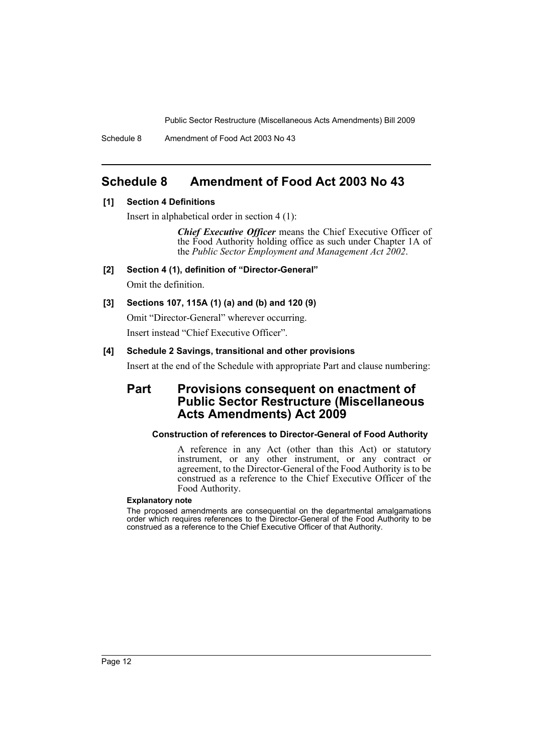Schedule 8 Amendment of Food Act 2003 No 43

# <span id="page-13-0"></span>**Schedule 8 Amendment of Food Act 2003 No 43**

### **[1] Section 4 Definitions**

Insert in alphabetical order in section 4 (1):

*Chief Executive Officer* means the Chief Executive Officer of the Food Authority holding office as such under Chapter 1A of the *Public Sector Employment and Management Act 2002*.

**[2] Section 4 (1), definition of "Director-General"** Omit the definition.

# **[3] Sections 107, 115A (1) (a) and (b) and 120 (9)**

Omit "Director-General" wherever occurring. Insert instead "Chief Executive Officer".

### **[4] Schedule 2 Savings, transitional and other provisions**

Insert at the end of the Schedule with appropriate Part and clause numbering:

# **Part Provisions consequent on enactment of Public Sector Restructure (Miscellaneous Acts Amendments) Act 2009**

### **Construction of references to Director-General of Food Authority**

A reference in any Act (other than this Act) or statutory instrument, or any other instrument, or any contract or agreement, to the Director-General of the Food Authority is to be construed as a reference to the Chief Executive Officer of the Food Authority.

#### **Explanatory note**

The proposed amendments are consequential on the departmental amalgamations order which requires references to the Director-General of the Food Authority to be construed as a reference to the Chief Executive Officer of that Authority.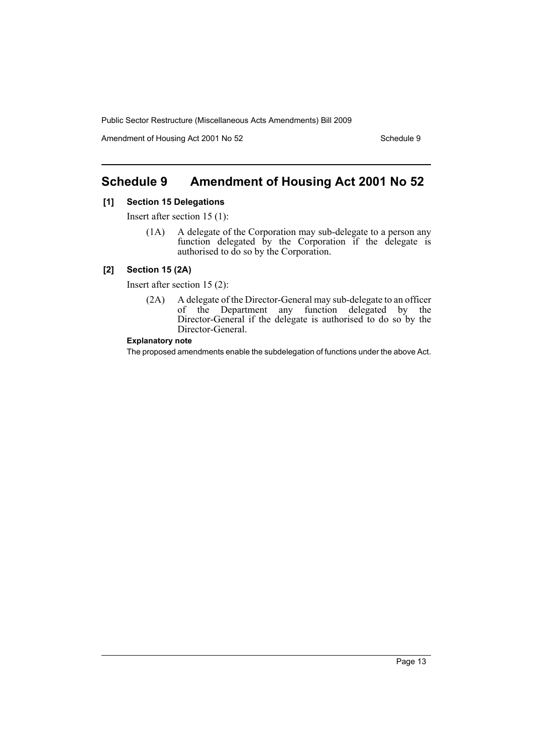Amendment of Housing Act 2001 No 52 Schedule 9

# <span id="page-14-0"></span>**Schedule 9 Amendment of Housing Act 2001 No 52**

#### **[1] Section 15 Delegations**

Insert after section 15 (1):

(1A) A delegate of the Corporation may sub-delegate to a person any function delegated by the Corporation if the delegate is authorised to do so by the Corporation.

# **[2] Section 15 (2A)**

Insert after section 15 (2):

(2A) A delegate of the Director-General may sub-delegate to an officer of the Department any function delegated by the Director-General if the delegate is authorised to do so by the Director-General.

#### **Explanatory note**

The proposed amendments enable the subdelegation of functions under the above Act.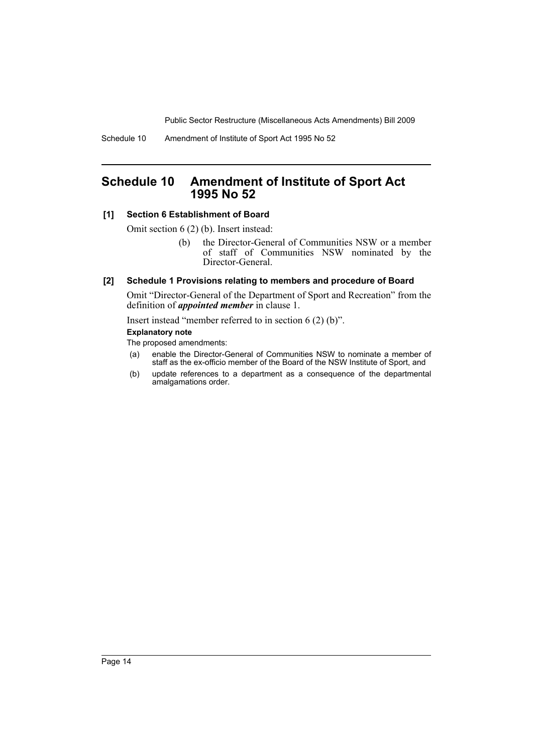Schedule 10 Amendment of Institute of Sport Act 1995 No 52

# <span id="page-15-0"></span>**Schedule 10 Amendment of Institute of Sport Act 1995 No 52**

### **[1] Section 6 Establishment of Board**

Omit section 6 (2) (b). Insert instead:

(b) the Director-General of Communities NSW or a member of staff of Communities NSW nominated by the Director-General.

#### **[2] Schedule 1 Provisions relating to members and procedure of Board**

Omit "Director-General of the Department of Sport and Recreation" from the definition of *appointed member* in clause 1.

Insert instead "member referred to in section 6 (2) (b)".

#### **Explanatory note**

- (a) enable the Director-General of Communities NSW to nominate a member of staff as the ex-officio member of the Board of the NSW Institute of Sport, and
- (b) update references to a department as a consequence of the departmental amalgamations order.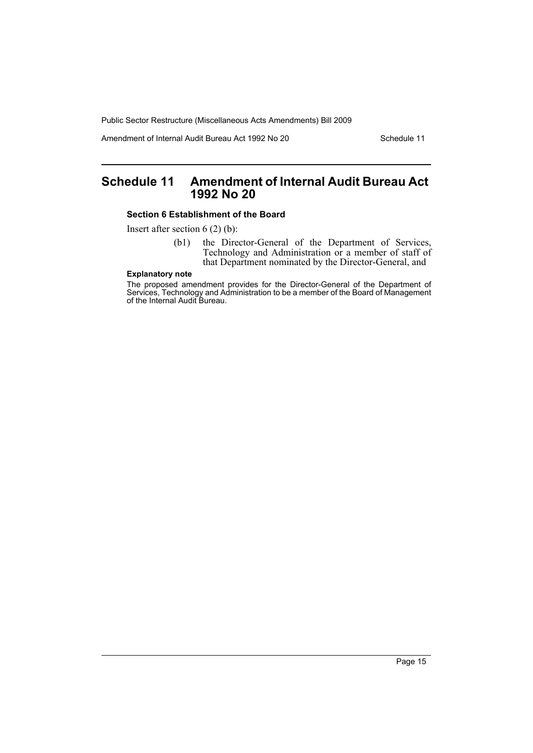Amendment of Internal Audit Bureau Act 1992 No 20 Schedule 11

# <span id="page-16-0"></span>**Schedule 11 Amendment of Internal Audit Bureau Act 1992 No 20**

### **Section 6 Establishment of the Board**

Insert after section 6 (2) (b):

(b1) the Director-General of the Department of Services, Technology and Administration or a member of staff of that Department nominated by the Director-General, and

# **Explanatory note**

The proposed amendment provides for the Director-General of the Department of Services, Technology and Administration to be a member of the Board of Management of the Internal Audit Bureau.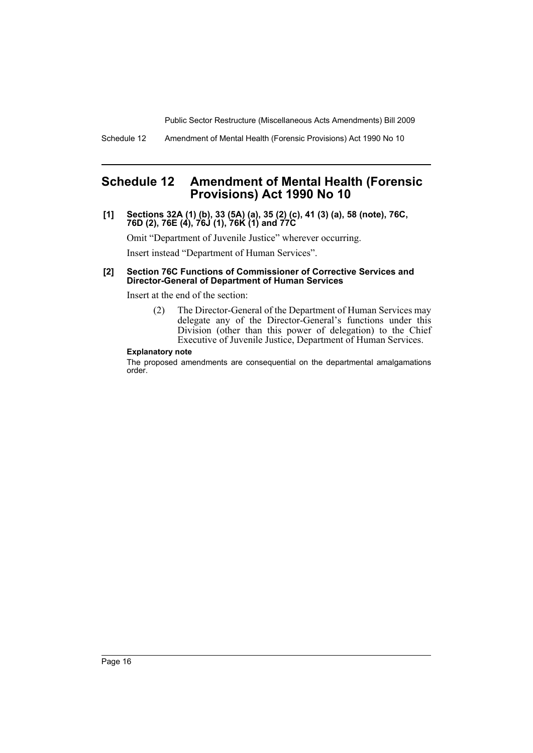Schedule 12 Amendment of Mental Health (Forensic Provisions) Act 1990 No 10

# <span id="page-17-0"></span>**Schedule 12 Amendment of Mental Health (Forensic Provisions) Act 1990 No 10**

**[1] Sections 32A (1) (b), 33 (5A) (a), 35 (2) (c), 41 (3) (a), 58 (note), 76C, 76D (2), 76E (4), 76J (1), 76K (1) and 77C**

Omit "Department of Juvenile Justice" wherever occurring.

Insert instead "Department of Human Services".

#### **[2] Section 76C Functions of Commissioner of Corrective Services and Director-General of Department of Human Services**

Insert at the end of the section:

(2) The Director-General of the Department of Human Services may delegate any of the Director-General's functions under this Division (other than this power of delegation) to the Chief Executive of Juvenile Justice, Department of Human Services.

#### **Explanatory note**

The proposed amendments are consequential on the departmental amalgamations order.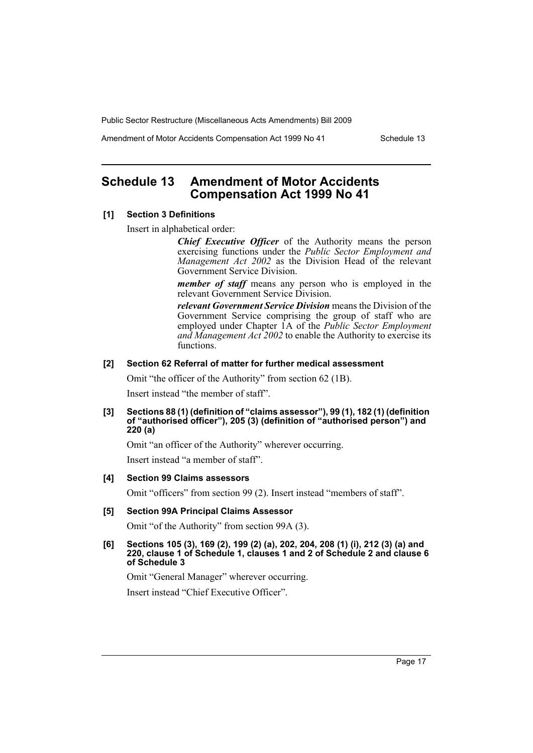Amendment of Motor Accidents Compensation Act 1999 No 41 Schedule 13

# <span id="page-18-0"></span>**Schedule 13 Amendment of Motor Accidents Compensation Act 1999 No 41**

#### **[1] Section 3 Definitions**

Insert in alphabetical order:

*Chief Executive Officer* of the Authority means the person exercising functions under the *Public Sector Employment and Management Act 2002* as the Division Head of the relevant Government Service Division.

*member of staff* means any person who is employed in the relevant Government Service Division.

*relevant Government Service Division* means the Division of the Government Service comprising the group of staff who are employed under Chapter 1A of the *Public Sector Employment and Management Act 2002* to enable the Authority to exercise its functions.

#### **[2] Section 62 Referral of matter for further medical assessment**

Omit "the officer of the Authority" from section 62 (1B).

Insert instead "the member of staff".

**[3] Sections 88 (1) (definition of "claims assessor"), 99 (1), 182 (1) (definition of "authorised officer"), 205 (3) (definition of "authorised person") and 220 (a)**

Omit "an officer of the Authority" wherever occurring.

Insert instead "a member of staff".

#### **[4] Section 99 Claims assessors**

Omit "officers" from section 99 (2). Insert instead "members of staff".

#### **[5] Section 99A Principal Claims Assessor**

Omit "of the Authority" from section 99A (3).

**[6] Sections 105 (3), 169 (2), 199 (2) (a), 202, 204, 208 (1) (i), 212 (3) (a) and 220, clause 1 of Schedule 1, clauses 1 and 2 of Schedule 2 and clause 6 of Schedule 3** 

Omit "General Manager" wherever occurring.

Insert instead "Chief Executive Officer".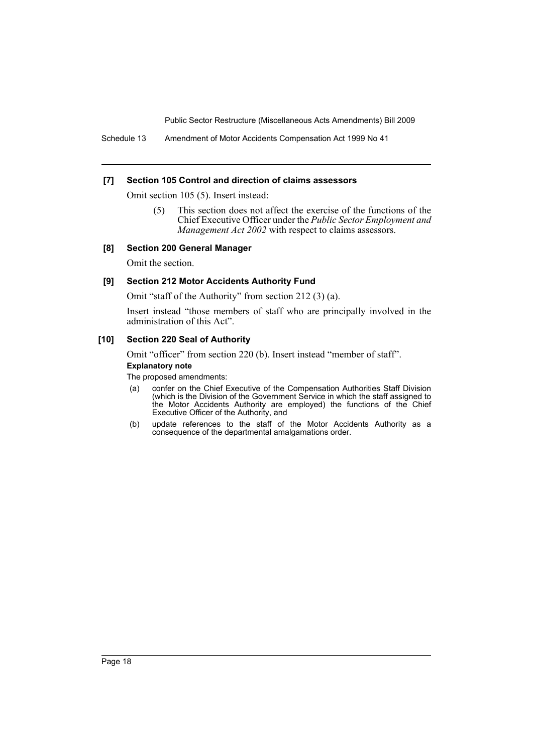Schedule 13 Amendment of Motor Accidents Compensation Act 1999 No 41

### **[7] Section 105 Control and direction of claims assessors**

Omit section 105 (5). Insert instead:

(5) This section does not affect the exercise of the functions of the Chief Executive Officer under the *Public Sector Employment and Management Act 2002* with respect to claims assessors.

### **[8] Section 200 General Manager**

Omit the section.

### **[9] Section 212 Motor Accidents Authority Fund**

Omit "staff of the Authority" from section 212 (3) (a).

Insert instead "those members of staff who are principally involved in the administration of this Act".

### **[10] Section 220 Seal of Authority**

Omit "officer" from section 220 (b). Insert instead "member of staff".

#### **Explanatory note**

- (a) confer on the Chief Executive of the Compensation Authorities Staff Division (which is the Division of the Government Service in which the staff assigned to the Motor Accidents Authority are employed) the functions of the Chief Executive Officer of the Authority, and
- (b) update references to the staff of the Motor Accidents Authority as a consequence of the departmental amalgamations order.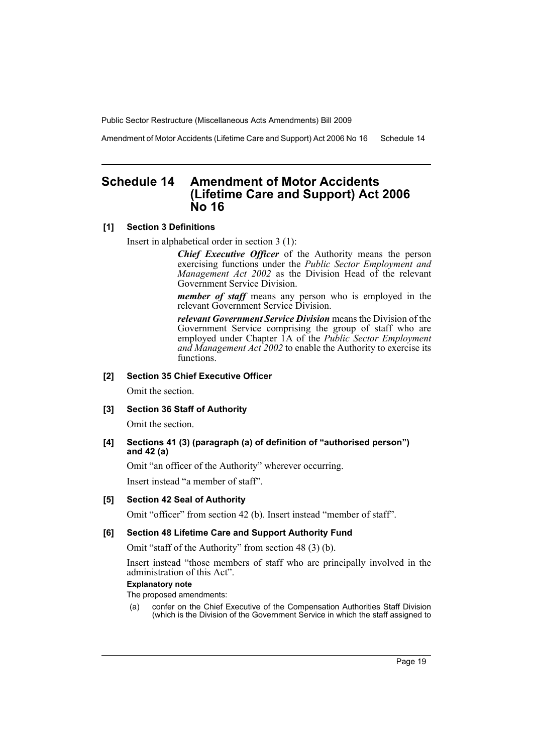Amendment of Motor Accidents (Lifetime Care and Support) Act 2006 No 16 Schedule 14

# <span id="page-20-0"></span>**Schedule 14 Amendment of Motor Accidents (Lifetime Care and Support) Act 2006 No 16**

### **[1] Section 3 Definitions**

Insert in alphabetical order in section 3 (1):

*Chief Executive Officer* of the Authority means the person exercising functions under the *Public Sector Employment and Management Act 2002* as the Division Head of the relevant Government Service Division.

*member of staff* means any person who is employed in the relevant Government Service Division.

*relevant Government Service Division* means the Division of the Government Service comprising the group of staff who are employed under Chapter 1A of the *Public Sector Employment and Management Act 2002* to enable the Authority to exercise its functions.

### **[2] Section 35 Chief Executive Officer**

Omit the section.

#### **[3] Section 36 Staff of Authority**

Omit the section.

### **[4] Sections 41 (3) (paragraph (a) of definition of "authorised person") and 42 (a)**

Omit "an officer of the Authority" wherever occurring.

Insert instead "a member of staff".

#### **[5] Section 42 Seal of Authority**

Omit "officer" from section 42 (b). Insert instead "member of staff".

#### **[6] Section 48 Lifetime Care and Support Authority Fund**

Omit "staff of the Authority" from section 48 (3) (b).

Insert instead "those members of staff who are principally involved in the administration of this Act".

#### **Explanatory note**

The proposed amendments:

(a) confer on the Chief Executive of the Compensation Authorities Staff Division (which is the Division of the Government Service in which the staff assigned to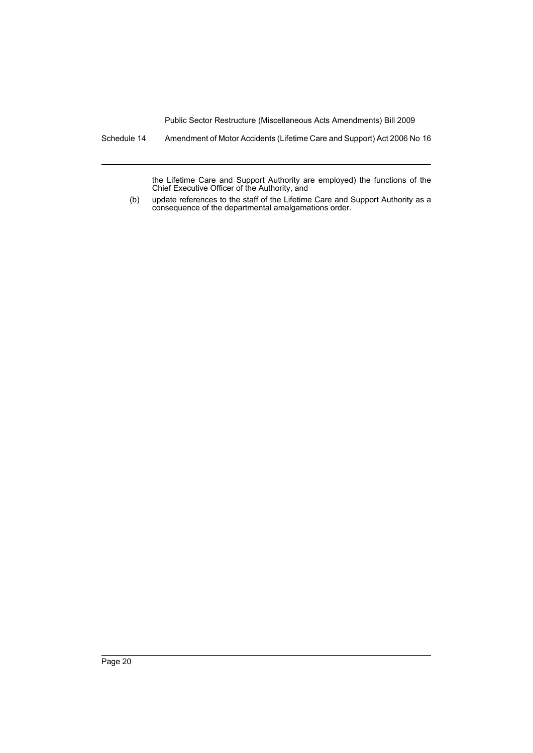Schedule 14 Amendment of Motor Accidents (Lifetime Care and Support) Act 2006 No 16

the Lifetime Care and Support Authority are employed) the functions of the Chief Executive Officer of the Authority, and

(b) update references to the staff of the Lifetime Care and Support Authority as a consequence of the departmental amalgamations order.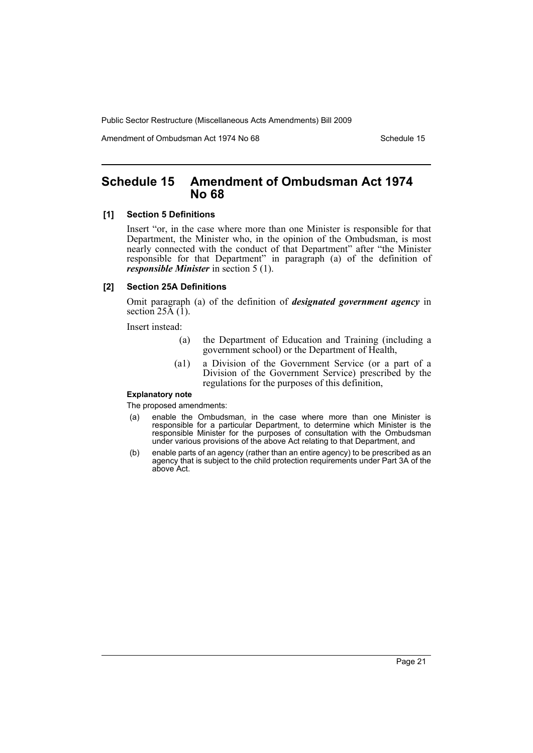Amendment of Ombudsman Act 1974 No 68 Schedule 15

# <span id="page-22-0"></span>**Schedule 15 Amendment of Ombudsman Act 1974 No 68**

#### **[1] Section 5 Definitions**

Insert "or, in the case where more than one Minister is responsible for that Department, the Minister who, in the opinion of the Ombudsman, is most nearly connected with the conduct of that Department" after "the Minister responsible for that Department" in paragraph (a) of the definition of *responsible Minister* in section 5 (1).

#### **[2] Section 25A Definitions**

Omit paragraph (a) of the definition of *designated government agency* in section  $25\overline{A}$  (1).

Insert instead:

- (a) the Department of Education and Training (including a government school) or the Department of Health,
- (a1) a Division of the Government Service (or a part of a Division of the Government Service) prescribed by the regulations for the purposes of this definition,

#### **Explanatory note**

- (a) enable the Ombudsman, in the case where more than one Minister is responsible for a particular Department, to determine which Minister is the responsible Minister for the purposes of consultation with the Ombudsman under various provisions of the above Act relating to that Department, and
- (b) enable parts of an agency (rather than an entire agency) to be prescribed as an agency that is subject to the child protection requirements under Part 3A of the above Act.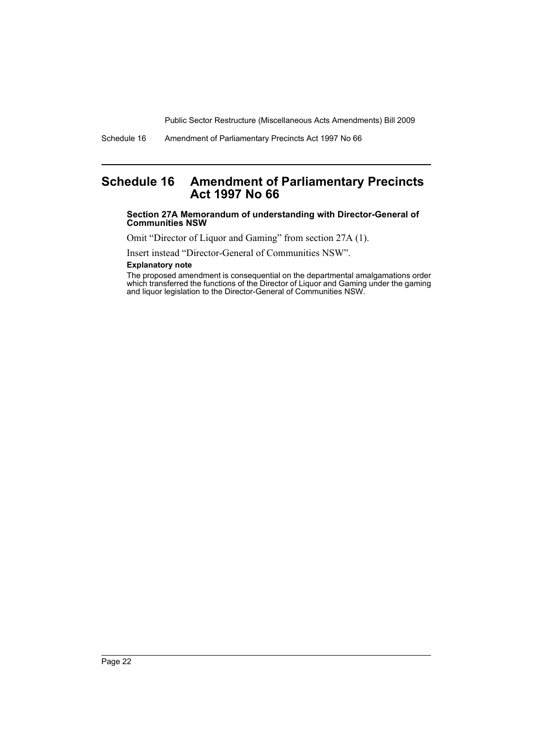# <span id="page-23-0"></span>**Schedule 16 Amendment of Parliamentary Precincts Act 1997 No 66**

#### **Section 27A Memorandum of understanding with Director-General of Communities NSW**

Omit "Director of Liquor and Gaming" from section 27A (1).

Insert instead "Director-General of Communities NSW".

### **Explanatory note**

The proposed amendment is consequential on the departmental amalgamations order which transferred the functions of the Director of Liquor and Gaming under the gaming and liquor legislation to the Director-General of Communities NSW.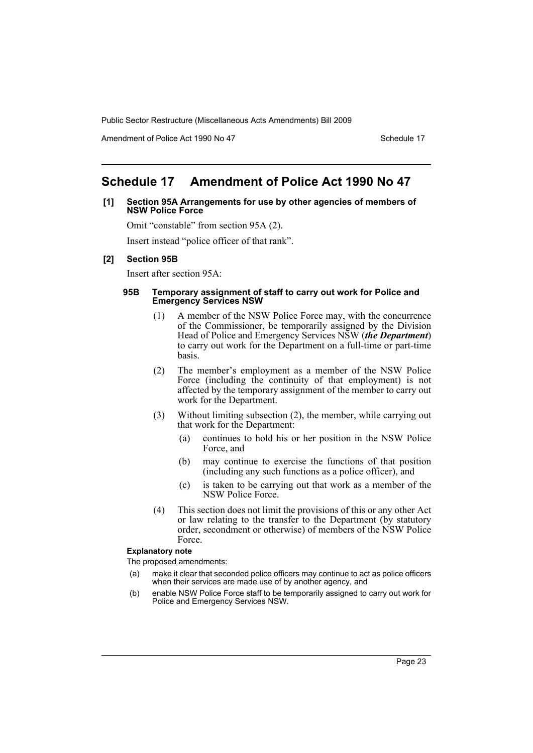Amendment of Police Act 1990 No 47 Schedule 17

# <span id="page-24-0"></span>**Schedule 17 Amendment of Police Act 1990 No 47**

### **[1] Section 95A Arrangements for use by other agencies of members of NSW Police Force**

Omit "constable" from section 95A (2).

Insert instead "police officer of that rank".

#### **[2] Section 95B**

Insert after section 95A:

#### **95B Temporary assignment of staff to carry out work for Police and Emergency Services NSW**

- (1) A member of the NSW Police Force may, with the concurrence of the Commissioner, be temporarily assigned by the Division Head of Police and Emergency Services NSW (*the Department*) to carry out work for the Department on a full-time or part-time basis.
- (2) The member's employment as a member of the NSW Police Force (including the continuity of that employment) is not affected by the temporary assignment of the member to carry out work for the Department.
- (3) Without limiting subsection (2), the member, while carrying out that work for the Department:
	- (a) continues to hold his or her position in the NSW Police Force, and
	- (b) may continue to exercise the functions of that position (including any such functions as a police officer), and
	- (c) is taken to be carrying out that work as a member of the NSW Police Force.
- (4) This section does not limit the provisions of this or any other Act or law relating to the transfer to the Department (by statutory order, secondment or otherwise) of members of the NSW Police Force.

#### **Explanatory note**

- (a) make it clear that seconded police officers may continue to act as police officers when their services are made use of by another agency, and
- (b) enable NSW Police Force staff to be temporarily assigned to carry out work for Police and Emergency Services NSW.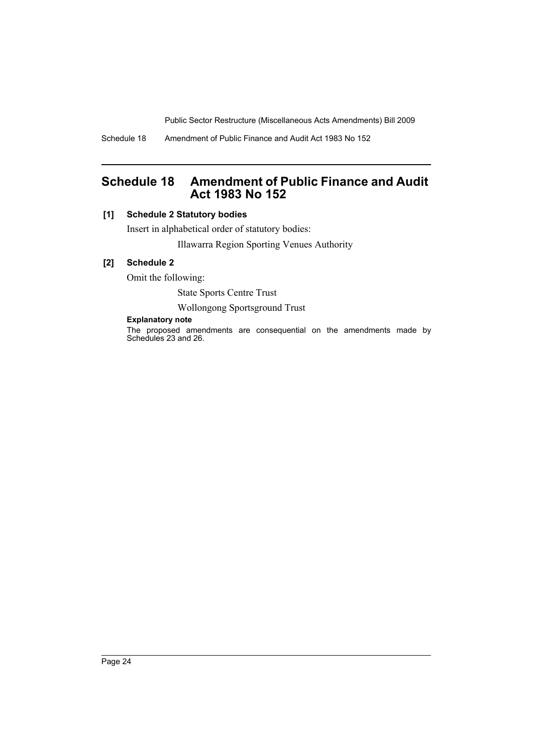Schedule 18 Amendment of Public Finance and Audit Act 1983 No 152

# <span id="page-25-0"></span>**Schedule 18 Amendment of Public Finance and Audit Act 1983 No 152**

# **[1] Schedule 2 Statutory bodies**

Insert in alphabetical order of statutory bodies: Illawarra Region Sporting Venues Authority

# **[2] Schedule 2**

Omit the following:

State Sports Centre Trust

### Wollongong Sportsground Trust

### **Explanatory note**

The proposed amendments are consequential on the amendments made by Schedules 23 and 26.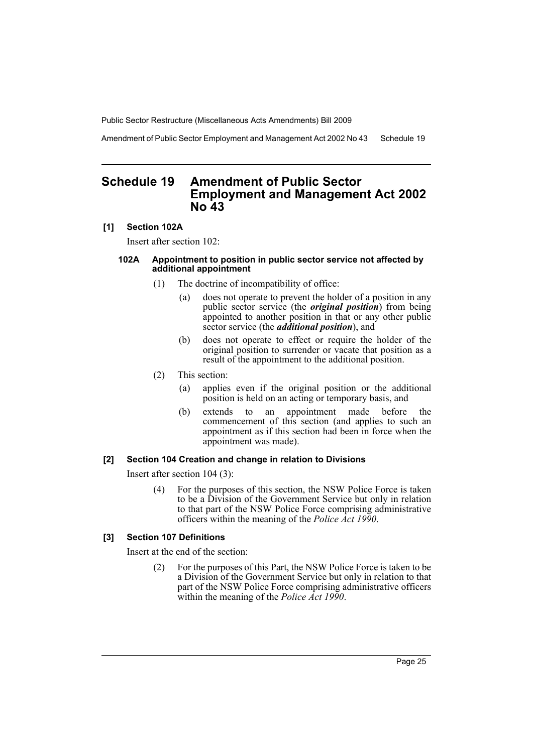Amendment of Public Sector Employment and Management Act 2002 No 43 Schedule 19

# <span id="page-26-0"></span>**Schedule 19 Amendment of Public Sector Employment and Management Act 2002 No 43**

### **[1] Section 102A**

Insert after section 102:

#### **102A Appointment to position in public sector service not affected by additional appointment**

- (1) The doctrine of incompatibility of office:
	- (a) does not operate to prevent the holder of a position in any public sector service (the *original position*) from being appointed to another position in that or any other public sector service (the *additional position*), and
	- (b) does not operate to effect or require the holder of the original position to surrender or vacate that position as a result of the appointment to the additional position.
- (2) This section:
	- (a) applies even if the original position or the additional position is held on an acting or temporary basis, and
	- (b) extends to an appointment made before the commencement of this section (and applies to such an appointment as if this section had been in force when the appointment was made).

#### **[2] Section 104 Creation and change in relation to Divisions**

Insert after section 104 (3):

(4) For the purposes of this section, the NSW Police Force is taken to be a Division of the Government Service but only in relation to that part of the NSW Police Force comprising administrative officers within the meaning of the *Police Act 1990*.

#### **[3] Section 107 Definitions**

Insert at the end of the section:

(2) For the purposes of this Part, the NSW Police Force is taken to be a Division of the Government Service but only in relation to that part of the NSW Police Force comprising administrative officers within the meaning of the *Police Act 1990*.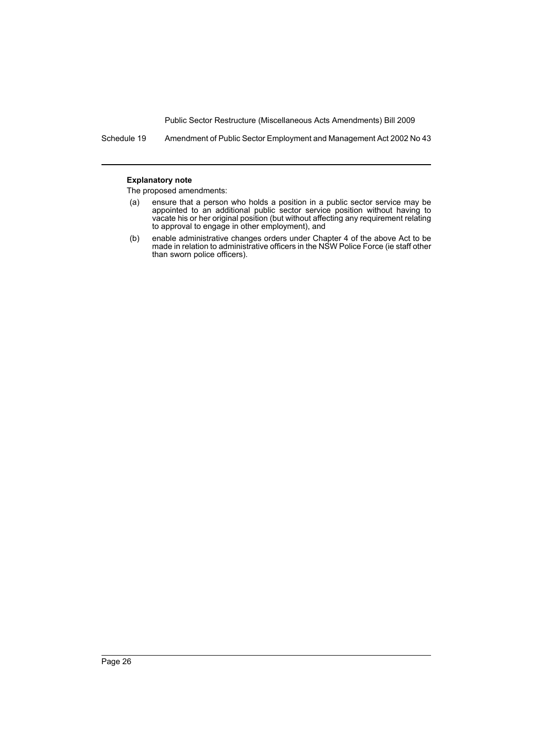Schedule 19 Amendment of Public Sector Employment and Management Act 2002 No 43

#### **Explanatory note**

- (a) ensure that a person who holds a position in a public sector service may be appointed to an additional public sector service position without having to vacate his or her original position (but without affecting any requirement relating to approval to engage in other employment), and
- (b) enable administrative changes orders under Chapter 4 of the above Act to be made in relation to administrative officers in the NSW Police Force (ie staff other than sworn police officers).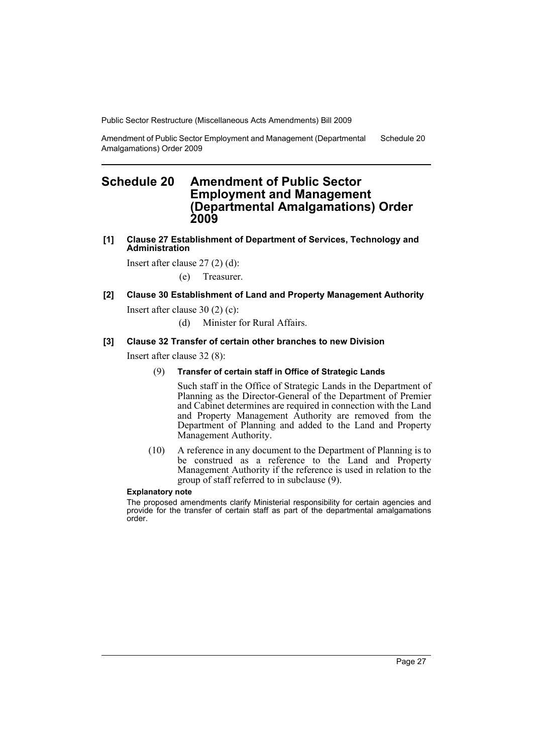Amendment of Public Sector Employment and Management (Departmental Amalgamations) Order 2009 Schedule 20

# <span id="page-28-0"></span>**Schedule 20 Amendment of Public Sector Employment and Management (Departmental Amalgamations) Order 2009**

**[1] Clause 27 Establishment of Department of Services, Technology and Administration**

Insert after clause 27 (2) (d):

(e) Treasurer.

### **[2] Clause 30 Establishment of Land and Property Management Authority**

Insert after clause 30 (2) (c):

(d) Minister for Rural Affairs.

#### **[3] Clause 32 Transfer of certain other branches to new Division**

Insert after clause 32 (8):

#### (9) **Transfer of certain staff in Office of Strategic Lands**

Such staff in the Office of Strategic Lands in the Department of Planning as the Director-General of the Department of Premier and Cabinet determines are required in connection with the Land and Property Management Authority are removed from the Department of Planning and added to the Land and Property Management Authority.

(10) A reference in any document to the Department of Planning is to be construed as a reference to the Land and Property Management Authority if the reference is used in relation to the group of staff referred to in subclause (9).

#### **Explanatory note**

The proposed amendments clarify Ministerial responsibility for certain agencies and provide for the transfer of certain staff as part of the departmental amalgamations order.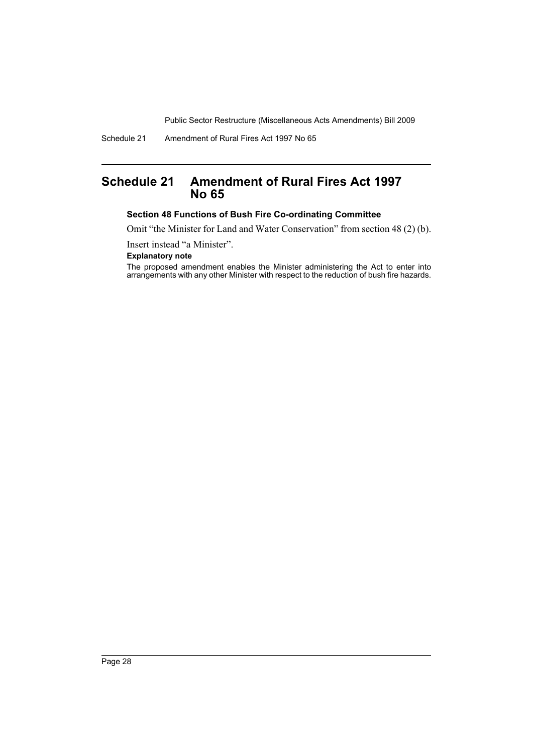Schedule 21 Amendment of Rural Fires Act 1997 No 65

# <span id="page-29-0"></span>**Schedule 21 Amendment of Rural Fires Act 1997 No 65**

### **Section 48 Functions of Bush Fire Co-ordinating Committee**

Omit "the Minister for Land and Water Conservation" from section 48 (2) (b).

Insert instead "a Minister".

#### **Explanatory note**

The proposed amendment enables the Minister administering the Act to enter into arrangements with any other Minister with respect to the reduction of bush fire hazards.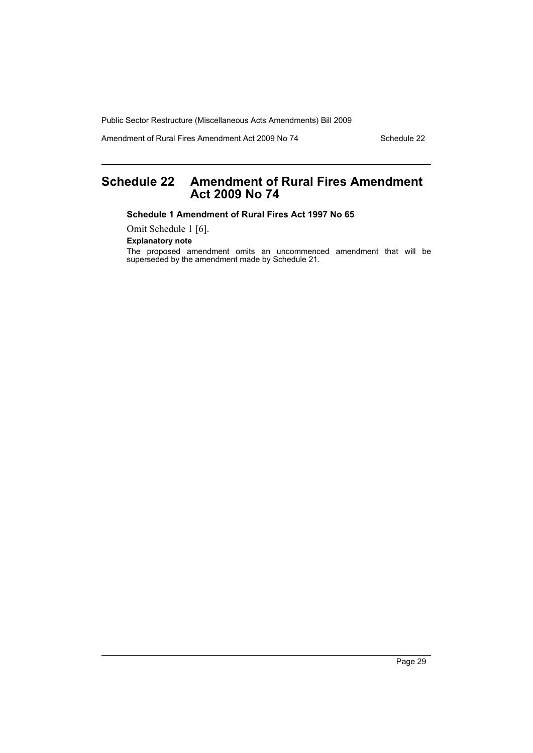Amendment of Rural Fires Amendment Act 2009 No 74 Schedule 22

# <span id="page-30-0"></span>**Schedule 22 Amendment of Rural Fires Amendment Act 2009 No 74**

**Schedule 1 Amendment of Rural Fires Act 1997 No 65**

Omit Schedule 1 [6].

**Explanatory note**

The proposed amendment omits an uncommenced amendment that will be superseded by the amendment made by Schedule 21.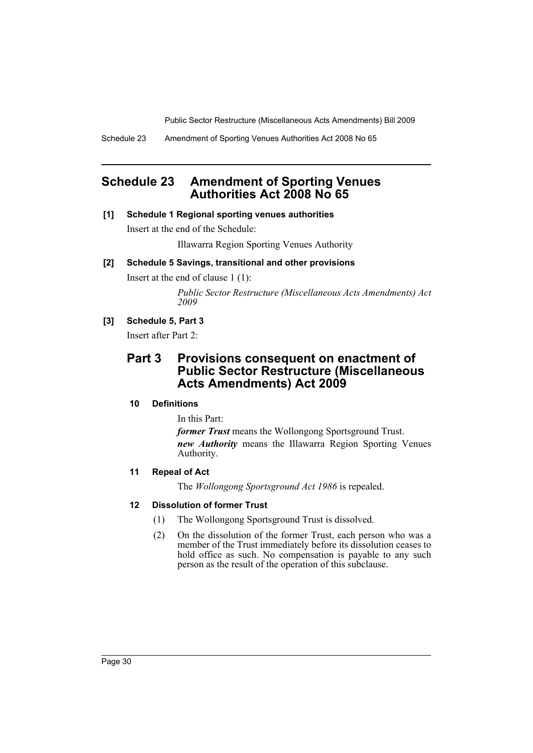Schedule 23 Amendment of Sporting Venues Authorities Act 2008 No 65

# <span id="page-31-0"></span>**Schedule 23 Amendment of Sporting Venues Authorities Act 2008 No 65**

### **[1] Schedule 1 Regional sporting venues authorities**

Insert at the end of the Schedule:

Illawarra Region Sporting Venues Authority

# **[2] Schedule 5 Savings, transitional and other provisions**

Insert at the end of clause 1 (1):

*Public Sector Restructure (Miscellaneous Acts Amendments) Act 2009*

# **[3] Schedule 5, Part 3**

Insert after Part 2:

# **Part 3 Provisions consequent on enactment of Public Sector Restructure (Miscellaneous Acts Amendments) Act 2009**

# **10 Definitions**

In this Part:

*former Trust* means the Wollongong Sportsground Trust. *new Authority* means the Illawarra Region Sporting Venues Authority.

# **11 Repeal of Act**

The *Wollongong Sportsground Act 1986* is repealed.

### **12 Dissolution of former Trust**

- (1) The Wollongong Sportsground Trust is dissolved.
- (2) On the dissolution of the former Trust, each person who was a member of the Trust immediately before its dissolution ceases to hold office as such. No compensation is payable to any such person as the result of the operation of this subclause.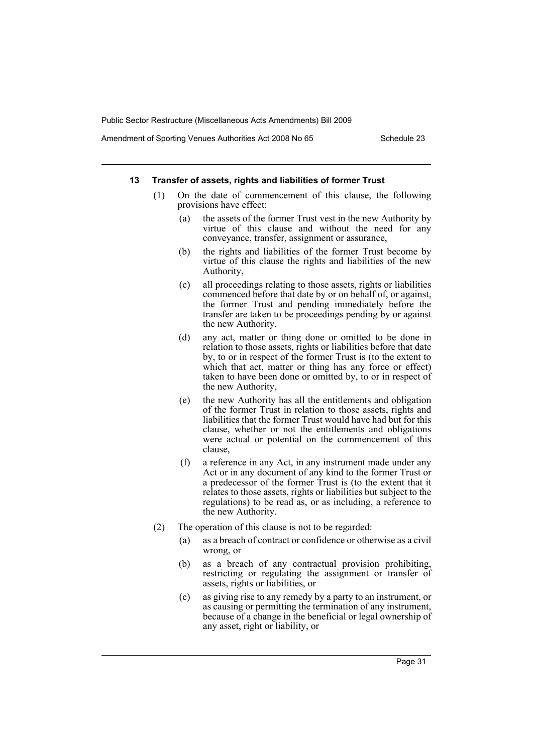Amendment of Sporting Venues Authorities Act 2008 No 65 Schedule 23

#### **13 Transfer of assets, rights and liabilities of former Trust**

- (1) On the date of commencement of this clause, the following provisions have effect:
	- (a) the assets of the former Trust vest in the new Authority by virtue of this clause and without the need for any conveyance, transfer, assignment or assurance,
	- (b) the rights and liabilities of the former Trust become by virtue of this clause the rights and liabilities of the new Authority,
	- (c) all proceedings relating to those assets, rights or liabilities commenced before that date by or on behalf of, or against, the former Trust and pending immediately before the transfer are taken to be proceedings pending by or against the new Authority,
	- (d) any act, matter or thing done or omitted to be done in relation to those assets, rights or liabilities before that date by, to or in respect of the former Trust is (to the extent to which that act, matter or thing has any force or effect) taken to have been done or omitted by, to or in respect of the new Authority,
	- (e) the new Authority has all the entitlements and obligation of the former Trust in relation to those assets, rights and liabilities that the former Trust would have had but for this clause, whether or not the entitlements and obligations were actual or potential on the commencement of this clause,
	- (f) a reference in any Act, in any instrument made under any Act or in any document of any kind to the former Trust or a predecessor of the former Trust is (to the extent that it relates to those assets, rights or liabilities but subject to the regulations) to be read as, or as including, a reference to the new Authority.
- (2) The operation of this clause is not to be regarded:
	- (a) as a breach of contract or confidence or otherwise as a civil wrong, or
	- (b) as a breach of any contractual provision prohibiting, restricting or regulating the assignment or transfer of assets, rights or liabilities, or
	- (c) as giving rise to any remedy by a party to an instrument, or as causing or permitting the termination of any instrument, because of a change in the beneficial or legal ownership of any asset, right or liability, or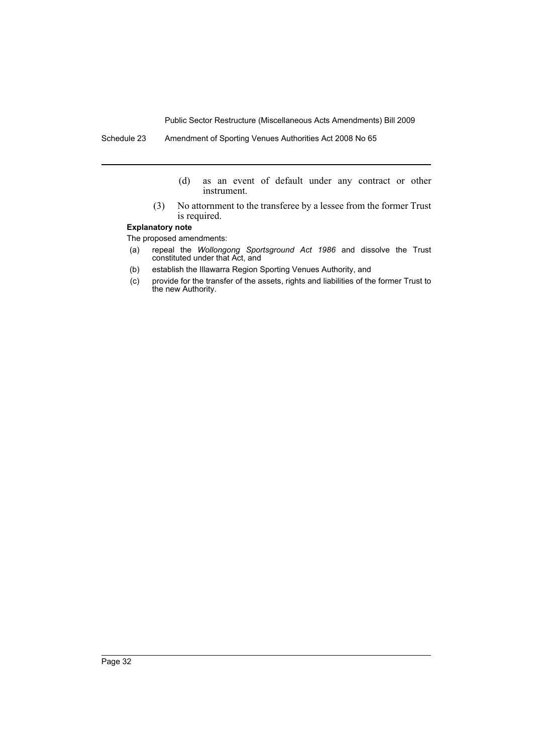Schedule 23 Amendment of Sporting Venues Authorities Act 2008 No 65

- (d) as an event of default under any contract or other instrument.
- (3) No attornment to the transferee by a lessee from the former Trust is required.

#### **Explanatory note**

- (a) repeal the *Wollongong Sportsground Act 1986* and dissolve the Trust constituted under that Act, and
- (b) establish the Illawarra Region Sporting Venues Authority, and
- (c) provide for the transfer of the assets, rights and liabilities of the former Trust to the new Authority.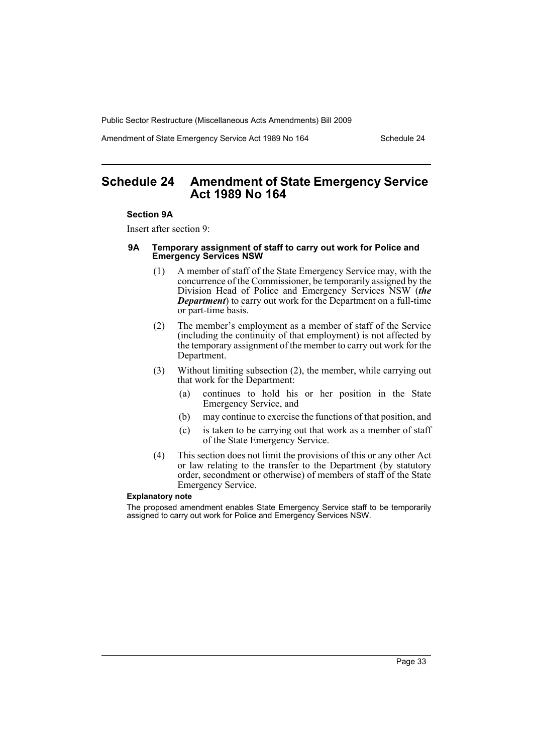Amendment of State Emergency Service Act 1989 No 164 Schedule 24

# <span id="page-34-0"></span>**Schedule 24 Amendment of State Emergency Service Act 1989 No 164**

#### **Section 9A**

Insert after section 9:

#### **9A Temporary assignment of staff to carry out work for Police and Emergency Services NSW**

- (1) A member of staff of the State Emergency Service may, with the concurrence of the Commissioner, be temporarily assigned by the Division Head of Police and Emergency Services NSW (*the Department*) to carry out work for the Department on a full-time or part-time basis.
- (2) The member's employment as a member of staff of the Service (including the continuity of that employment) is not affected by the temporary assignment of the member to carry out work for the Department.
- (3) Without limiting subsection (2), the member, while carrying out that work for the Department:
	- (a) continues to hold his or her position in the State Emergency Service, and
	- (b) may continue to exercise the functions of that position, and
	- (c) is taken to be carrying out that work as a member of staff of the State Emergency Service.
- (4) This section does not limit the provisions of this or any other Act or law relating to the transfer to the Department (by statutory order, secondment or otherwise) of members of staff of the State Emergency Service.

#### **Explanatory note**

The proposed amendment enables State Emergency Service staff to be temporarily assigned to carry out work for Police and Emergency Services NSW.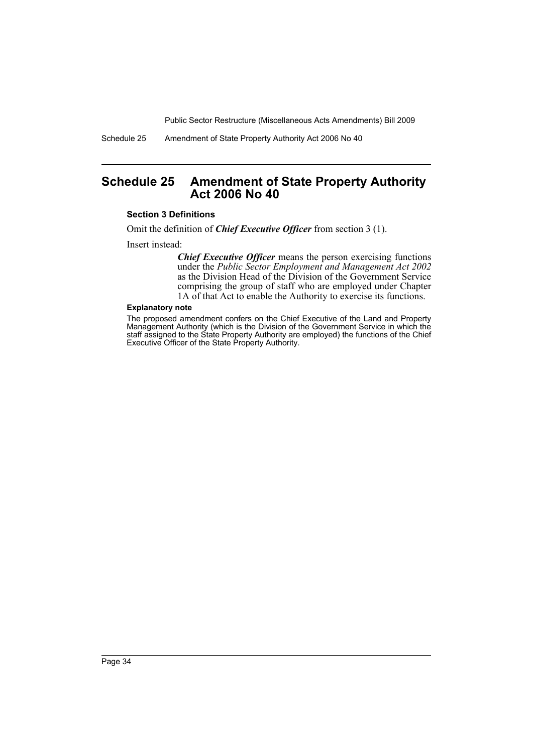Schedule 25 Amendment of State Property Authority Act 2006 No 40

# <span id="page-35-0"></span>**Schedule 25 Amendment of State Property Authority Act 2006 No 40**

#### **Section 3 Definitions**

Omit the definition of *Chief Executive Officer* from section 3 (1).

Insert instead:

*Chief Executive Officer* means the person exercising functions under the *Public Sector Employment and Management Act 2002* as the Division Head of the Division of the Government Service comprising the group of staff who are employed under Chapter 1A of that Act to enable the Authority to exercise its functions.

#### **Explanatory note**

The proposed amendment confers on the Chief Executive of the Land and Property Management Authority (which is the Division of the Government Service in which the staff assigned to the State Property Authority are employed) the functions of the Chief Executive Officer of the State Property Authority.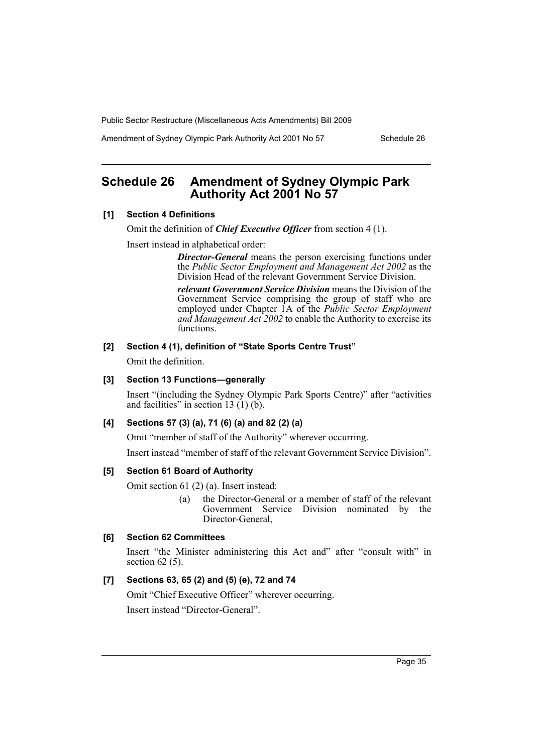Amendment of Sydney Olympic Park Authority Act 2001 No 57 Schedule 26

# <span id="page-36-0"></span>**Schedule 26 Amendment of Sydney Olympic Park Authority Act 2001 No 57**

### **[1] Section 4 Definitions**

Omit the definition of *Chief Executive Officer* from section 4 (1).

Insert instead in alphabetical order:

*Director-General* means the person exercising functions under the *Public Sector Employment and Management Act 2002* as the Division Head of the relevant Government Service Division.

*relevant Government Service Division* means the Division of the Government Service comprising the group of staff who are employed under Chapter 1A of the *Public Sector Employment and Management Act 2002* to enable the Authority to exercise its functions.

# **[2] Section 4 (1), definition of "State Sports Centre Trust"**

Omit the definition.

#### **[3] Section 13 Functions—generally**

Insert "(including the Sydney Olympic Park Sports Centre)" after "activities and facilities" in section 13  $(1)$  (b).

### **[4] Sections 57 (3) (a), 71 (6) (a) and 82 (2) (a)**

Omit "member of staff of the Authority" wherever occurring.

Insert instead "member of staff of the relevant Government Service Division".

### **[5] Section 61 Board of Authority**

Omit section 61 (2) (a). Insert instead:

(a) the Director-General or a member of staff of the relevant Government Service Division nominated by the Director-General,

#### **[6] Section 62 Committees**

Insert "the Minister administering this Act and" after "consult with" in section 62 (5).

#### **[7] Sections 63, 65 (2) and (5) (e), 72 and 74**

Omit "Chief Executive Officer" wherever occurring.

Insert instead "Director-General".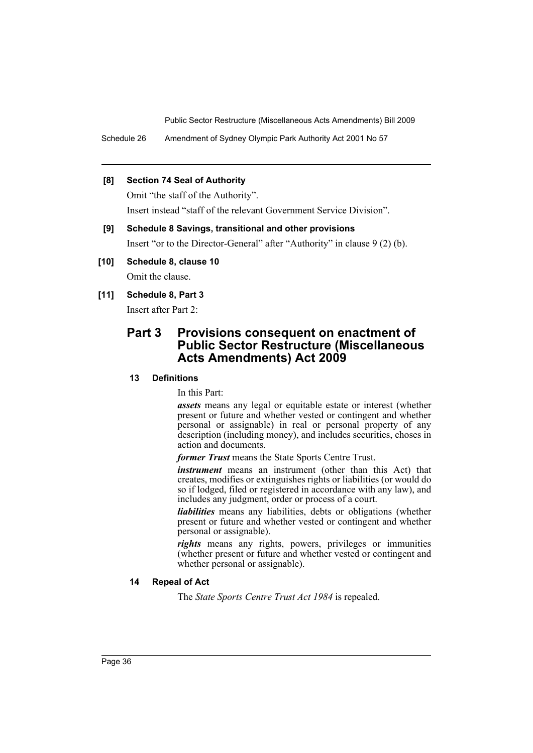Schedule 26 Amendment of Sydney Olympic Park Authority Act 2001 No 57

### **[8] Section 74 Seal of Authority**

Omit "the staff of the Authority". Insert instead "staff of the relevant Government Service Division".

# **[9] Schedule 8 Savings, transitional and other provisions** Insert "or to the Director-General" after "Authority" in clause 9 (2) (b).

# **[10] Schedule 8, clause 10**

Omit the clause.

# **[11] Schedule 8, Part 3**

Insert after Part 2:

# **Part 3 Provisions consequent on enactment of Public Sector Restructure (Miscellaneous Acts Amendments) Act 2009**

# **13 Definitions**

In this Part:

*assets* means any legal or equitable estate or interest (whether present or future and whether vested or contingent and whether personal or assignable) in real or personal property of any description (including money), and includes securities, choses in action and documents.

*former Trust* means the State Sports Centre Trust.

*instrument* means an instrument (other than this Act) that creates, modifies or extinguishes rights or liabilities (or would do so if lodged, filed or registered in accordance with any law), and includes any judgment, order or process of a court.

*liabilities* means any liabilities, debts or obligations (whether present or future and whether vested or contingent and whether personal or assignable).

*rights* means any rights, powers, privileges or immunities (whether present or future and whether vested or contingent and whether personal or assignable).

### **14 Repeal of Act**

The *State Sports Centre Trust Act 1984* is repealed.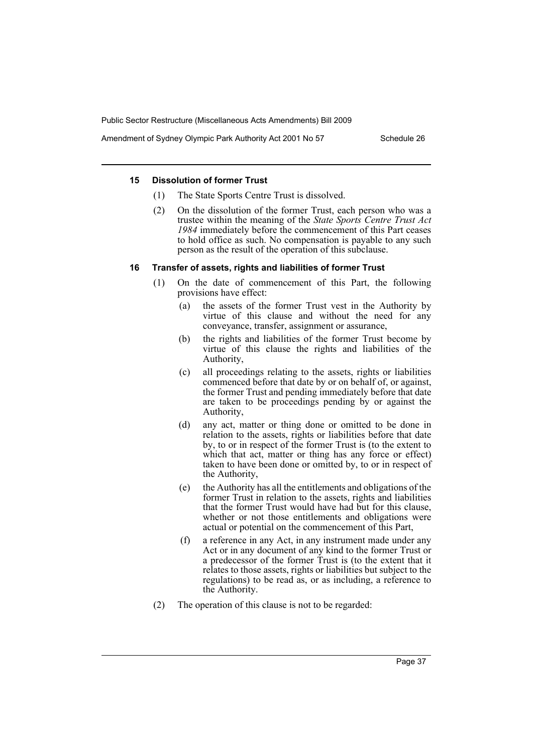Amendment of Sydney Olympic Park Authority Act 2001 No 57 Schedule 26

#### **15 Dissolution of former Trust**

- (1) The State Sports Centre Trust is dissolved.
- (2) On the dissolution of the former Trust, each person who was a trustee within the meaning of the *State Sports Centre Trust Act 1984* immediately before the commencement of this Part ceases to hold office as such. No compensation is payable to any such person as the result of the operation of this subclause.

### **16 Transfer of assets, rights and liabilities of former Trust**

- (1) On the date of commencement of this Part, the following provisions have effect:
	- (a) the assets of the former Trust vest in the Authority by virtue of this clause and without the need for any conveyance, transfer, assignment or assurance,
	- (b) the rights and liabilities of the former Trust become by virtue of this clause the rights and liabilities of the Authority,
	- (c) all proceedings relating to the assets, rights or liabilities commenced before that date by or on behalf of, or against, the former Trust and pending immediately before that date are taken to be proceedings pending by or against the Authority,
	- (d) any act, matter or thing done or omitted to be done in relation to the assets, rights or liabilities before that date by, to or in respect of the former Trust is (to the extent to which that act, matter or thing has any force or effect) taken to have been done or omitted by, to or in respect of the Authority,
	- (e) the Authority has all the entitlements and obligations of the former Trust in relation to the assets, rights and liabilities that the former Trust would have had but for this clause, whether or not those entitlements and obligations were actual or potential on the commencement of this Part,
	- (f) a reference in any Act, in any instrument made under any Act or in any document of any kind to the former Trust or a predecessor of the former Trust is (to the extent that it relates to those assets, rights or liabilities but subject to the regulations) to be read as, or as including, a reference to the Authority.
- (2) The operation of this clause is not to be regarded: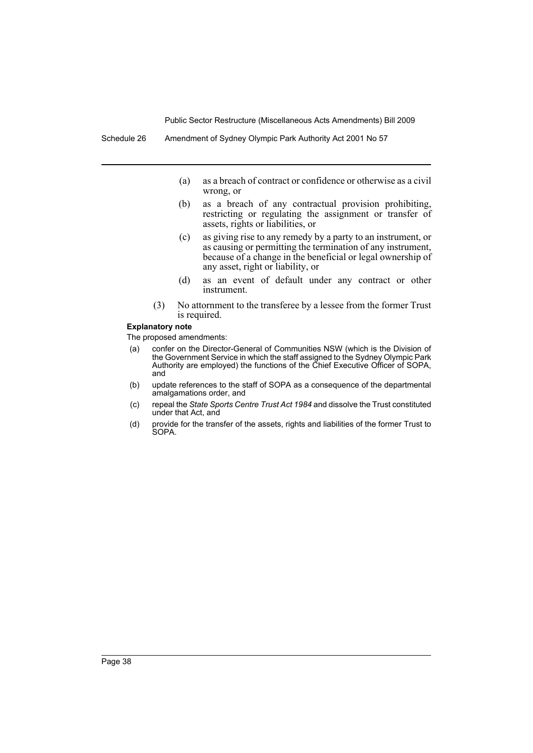- (a) as a breach of contract or confidence or otherwise as a civil wrong, or
- (b) as a breach of any contractual provision prohibiting, restricting or regulating the assignment or transfer of assets, rights or liabilities, or
- (c) as giving rise to any remedy by a party to an instrument, or as causing or permitting the termination of any instrument, because of a change in the beneficial or legal ownership of any asset, right or liability, or
- (d) as an event of default under any contract or other instrument.
- (3) No attornment to the transferee by a lessee from the former Trust is required.

#### **Explanatory note**

- (a) confer on the Director-General of Communities NSW (which is the Division of the Government Service in which the staff assigned to the Sydney Olympic Park Authority are employed) the functions of the Chief Executive Officer of SOPA, and
- (b) update references to the staff of SOPA as a consequence of the departmental amalgamations order, and
- (c) repeal the *State Sports Centre Trust Act 1984* and dissolve the Trust constituted under that Act, and
- (d) provide for the transfer of the assets, rights and liabilities of the former Trust to SOPA.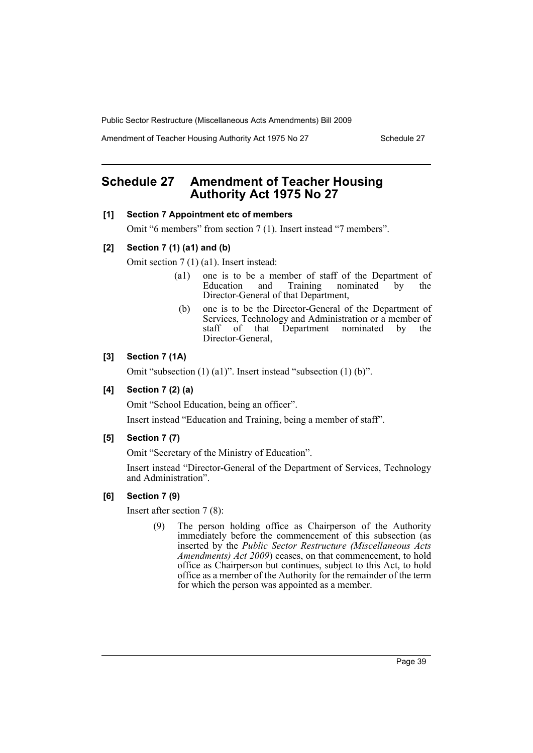Amendment of Teacher Housing Authority Act 1975 No 27 Schedule 27

# <span id="page-40-0"></span>**Schedule 27 Amendment of Teacher Housing Authority Act 1975 No 27**

#### **[1] Section 7 Appointment etc of members**

Omit "6 members" from section 7 (1). Insert instead "7 members".

#### **[2] Section 7 (1) (a1) and (b)**

Omit section 7 (1) (a1). Insert instead:

- (a1) one is to be a member of staff of the Department of Education and Training nominated by the Director-General of that Department,
- (b) one is to be the Director-General of the Department of Services, Technology and Administration or a member of staff of that Department nominated by the Director-General,

### **[3] Section 7 (1A)**

Omit "subsection (1) (a1)". Insert instead "subsection (1) (b)".

# **[4] Section 7 (2) (a)**

Omit "School Education, being an officer".

Insert instead "Education and Training, being a member of staff".

### **[5] Section 7 (7)**

Omit "Secretary of the Ministry of Education".

Insert instead "Director-General of the Department of Services, Technology and Administration".

### **[6] Section 7 (9)**

Insert after section 7 (8):

(9) The person holding office as Chairperson of the Authority immediately before the commencement of this subsection (as inserted by the *Public Sector Restructure (Miscellaneous Acts Amendments) Act 2009*) ceases, on that commencement, to hold office as Chairperson but continues, subject to this Act, to hold office as a member of the Authority for the remainder of the term for which the person was appointed as a member.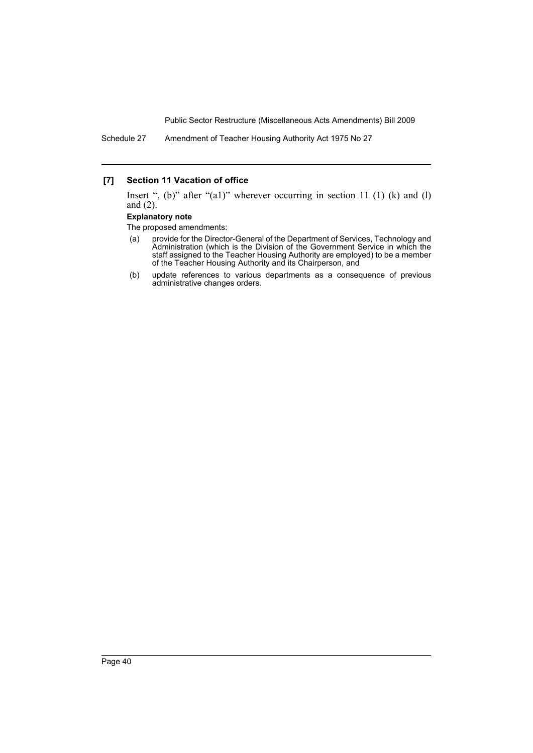Schedule 27 Amendment of Teacher Housing Authority Act 1975 No 27

### **[7] Section 11 Vacation of office**

Insert ", (b)" after "(a1)" wherever occurring in section 11 (1) (k) and (l) and (2).

#### **Explanatory note**

- (a) provide for the Director-General of the Department of Services, Technology and Administration (which is the Division of the Government Service in which the staff assigned to the Teacher Housing Authority are employed) to be a member of the Teacher Housing Authority and its Chairperson, and
- (b) update references to various departments as a consequence of previous administrative changes orders.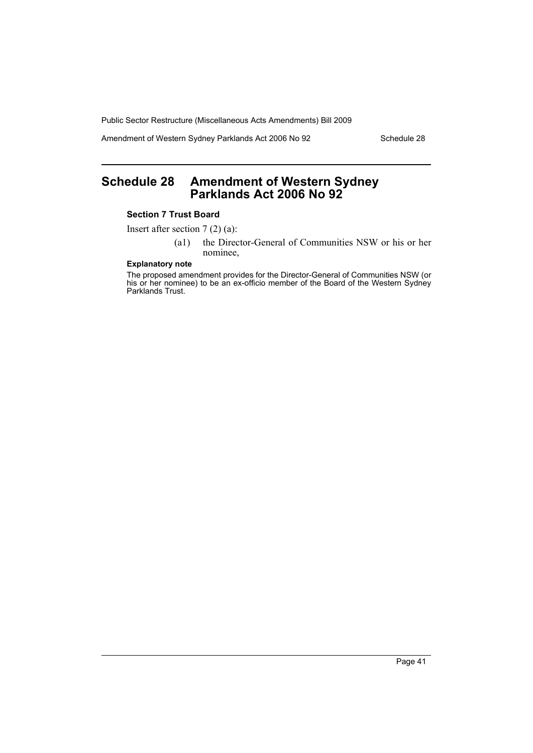Amendment of Western Sydney Parklands Act 2006 No 92 Schedule 28

# <span id="page-42-0"></span>**Schedule 28 Amendment of Western Sydney Parklands Act 2006 No 92**

### **Section 7 Trust Board**

Insert after section 7 (2) (a):

(a1) the Director-General of Communities NSW or his or her nominee,

#### **Explanatory note**

The proposed amendment provides for the Director-General of Communities NSW (or his or her nominee) to be an ex-officio member of the Board of the Western Sydney Parklands Trust.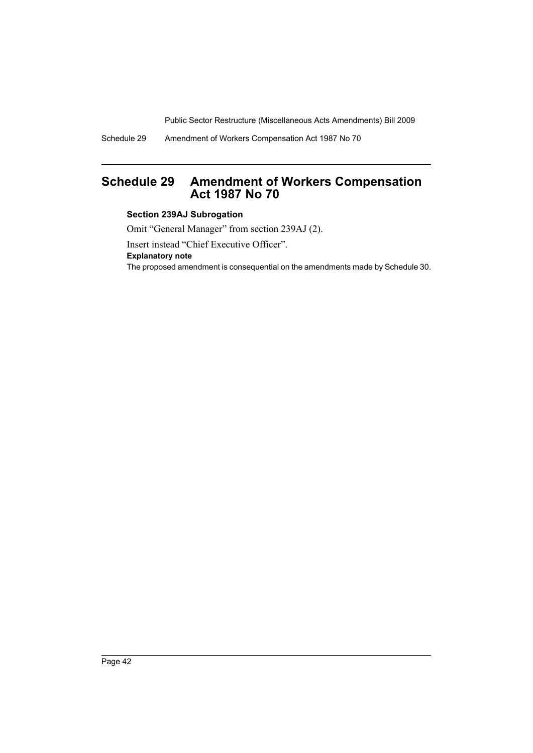Schedule 29 Amendment of Workers Compensation Act 1987 No 70

# <span id="page-43-0"></span>**Schedule 29 Amendment of Workers Compensation Act 1987 No 70**

### **Section 239AJ Subrogation**

Omit "General Manager" from section 239AJ (2).

Insert instead "Chief Executive Officer".

**Explanatory note**

The proposed amendment is consequential on the amendments made by Schedule 30.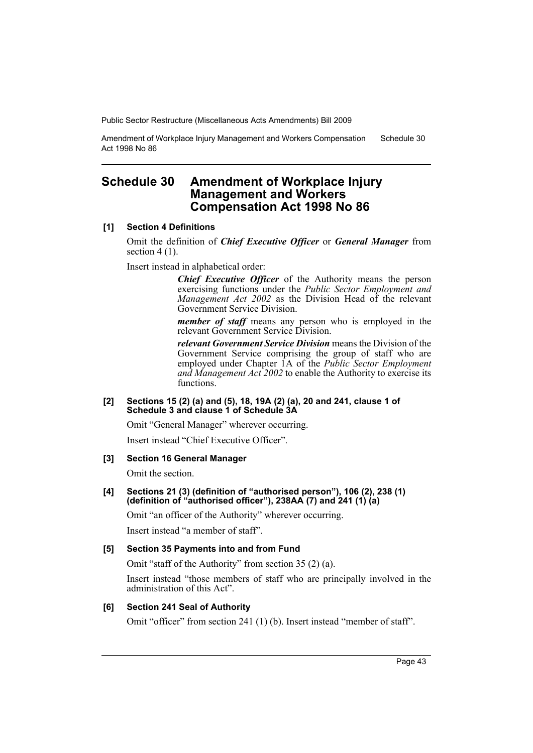Amendment of Workplace Injury Management and Workers Compensation Act 1998 No 86 Schedule 30

# <span id="page-44-0"></span>**Schedule 30 Amendment of Workplace Injury Management and Workers Compensation Act 1998 No 86**

### **[1] Section 4 Definitions**

Omit the definition of *Chief Executive Officer* or *General Manager* from section  $4(1)$ .

Insert instead in alphabetical order:

*Chief Executive Officer* of the Authority means the person exercising functions under the *Public Sector Employment and Management Act 2002* as the Division Head of the relevant Government Service Division.

*member of staff* means any person who is employed in the relevant Government Service Division.

*relevant Government Service Division* means the Division of the Government Service comprising the group of staff who are employed under Chapter 1A of the *Public Sector Employment and Management Act 2002* to enable the Authority to exercise its functions.

#### **[2] Sections 15 (2) (a) and (5), 18, 19A (2) (a), 20 and 241, clause 1 of Schedule 3 and clause 1 of Schedule 3A**

Omit "General Manager" wherever occurring.

Insert instead "Chief Executive Officer".

### **[3] Section 16 General Manager**

Omit the section.

#### **[4] Sections 21 (3) (definition of "authorised person"), 106 (2), 238 (1) (definition of "authorised officer"), 238AA (7) and 241 (1) (a)**

Omit "an officer of the Authority" wherever occurring.

Insert instead "a member of staff".

### **[5] Section 35 Payments into and from Fund**

Omit "staff of the Authority" from section 35 (2) (a).

Insert instead "those members of staff who are principally involved in the administration of this Act".

### **[6] Section 241 Seal of Authority**

Omit "officer" from section 241 (1) (b). Insert instead "member of staff".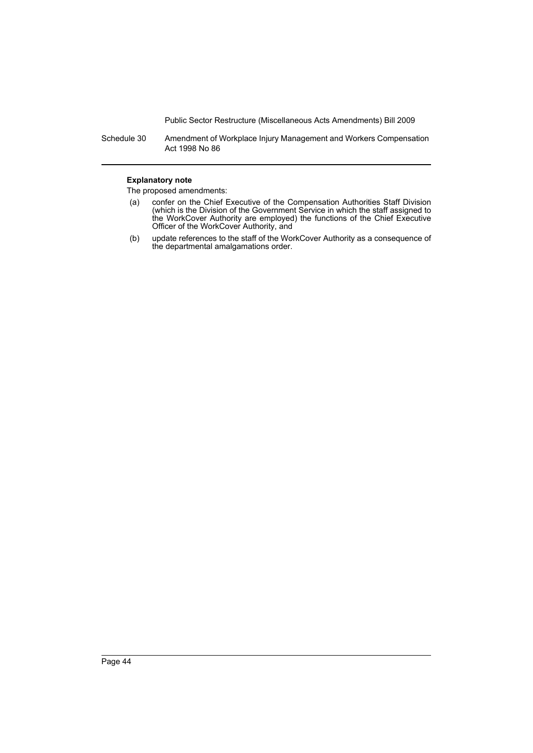Schedule 30 Amendment of Workplace Injury Management and Workers Compensation Act 1998 No 86

#### **Explanatory note**

- (a) confer on the Chief Executive of the Compensation Authorities Staff Division (which is the Division of the Government Service in which the staff assigned to the WorkCover Authority are employed) the functions of the Chief Executive Officer of the WorkCover Authority, and
- (b) update references to the staff of the WorkCover Authority as a consequence of the departmental amalgamations order.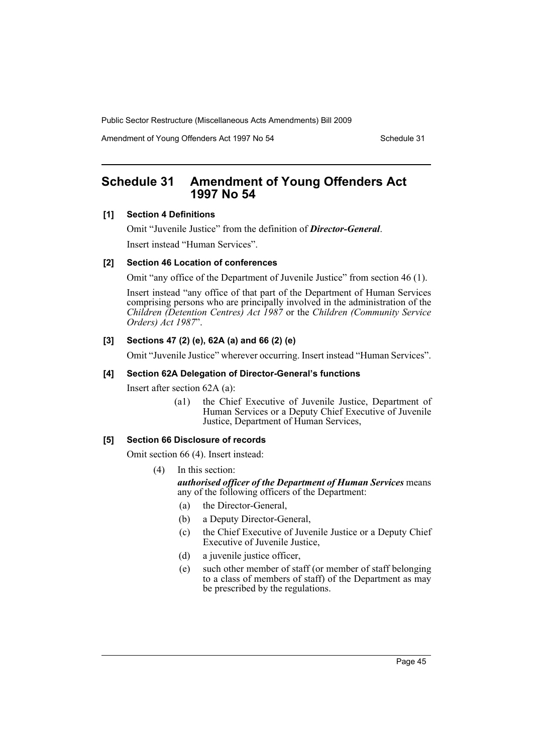Amendment of Young Offenders Act 1997 No 54 Schedule 31

# <span id="page-46-0"></span>**Schedule 31 Amendment of Young Offenders Act 1997 No 54**

#### **[1] Section 4 Definitions**

Omit "Juvenile Justice" from the definition of *Director-General*. Insert instead "Human Services".

### **[2] Section 46 Location of conferences**

Omit "any office of the Department of Juvenile Justice" from section 46 (1).

Insert instead "any office of that part of the Department of Human Services comprising persons who are principally involved in the administration of the *Children (Detention Centres) Act 1987* or the *Children (Community Service Orders) Act 1987*".

### **[3] Sections 47 (2) (e), 62A (a) and 66 (2) (e)**

Omit "Juvenile Justice" wherever occurring. Insert instead "Human Services".

#### **[4] Section 62A Delegation of Director-General's functions**

Insert after section 62A (a):

(a1) the Chief Executive of Juvenile Justice, Department of Human Services or a Deputy Chief Executive of Juvenile Justice, Department of Human Services,

#### **[5] Section 66 Disclosure of records**

Omit section 66 (4). Insert instead:

(4) In this section:

*authorised officer of the Department of Human Services* means any of the following officers of the Department:

- (a) the Director-General,
- (b) a Deputy Director-General,
- (c) the Chief Executive of Juvenile Justice or a Deputy Chief Executive of Juvenile Justice,
- (d) a juvenile justice officer,
- (e) such other member of staff (or member of staff belonging to a class of members of staff) of the Department as may be prescribed by the regulations.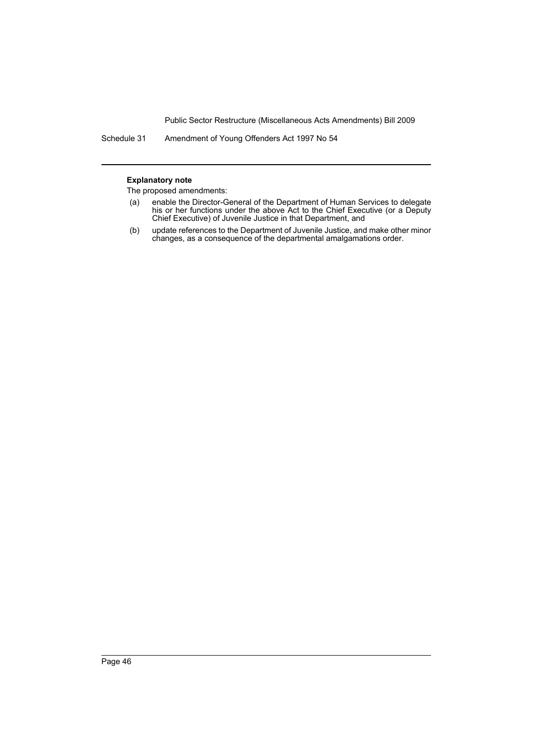Schedule 31 Amendment of Young Offenders Act 1997 No 54

#### **Explanatory note**

- (a) enable the Director-General of the Department of Human Services to delegate his or her functions under the above Act to the Chief Executive (or a Deputy Chief Executive) of Juvenile Justice in that Department, and
- (b) update references to the Department of Juvenile Justice, and make other minor changes, as a consequence of the departmental amalgamations order.